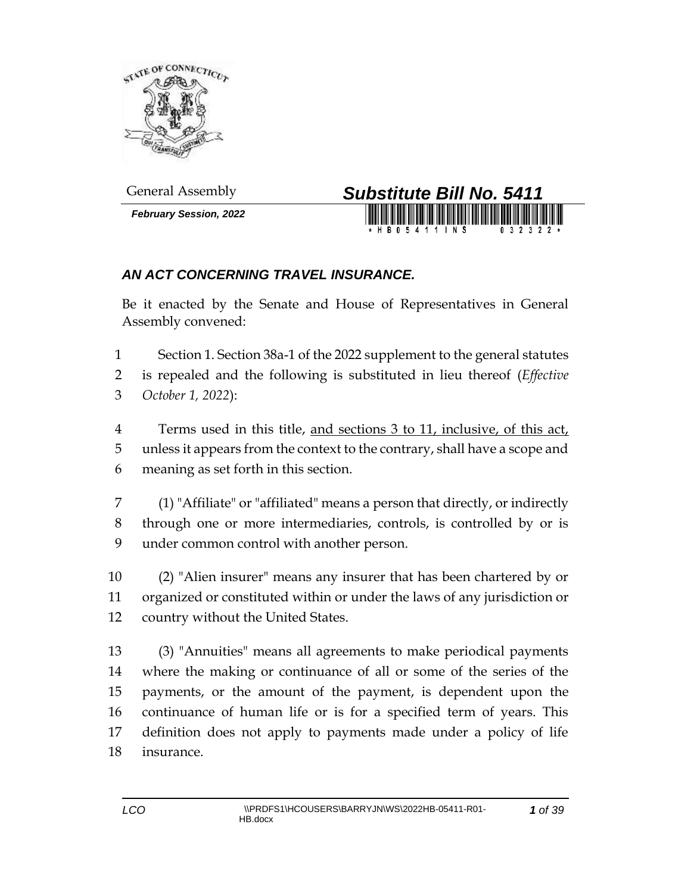

*February Session, 2022*



## *AN ACT CONCERNING TRAVEL INSURANCE.*

Be it enacted by the Senate and House of Representatives in General Assembly convened:

 Section 1. Section 38a-1 of the 2022 supplement to the general statutes is repealed and the following is substituted in lieu thereof (*Effective October 1, 2022*):

 Terms used in this title, and sections 3 to 11, inclusive, of this act, unless it appears from the context to the contrary, shall have a scope and meaning as set forth in this section.

 (1) "Affiliate" or "affiliated" means a person that directly, or indirectly through one or more intermediaries, controls, is controlled by or is under common control with another person.

 (2) "Alien insurer" means any insurer that has been chartered by or organized or constituted within or under the laws of any jurisdiction or country without the United States.

 (3) "Annuities" means all agreements to make periodical payments where the making or continuance of all or some of the series of the payments, or the amount of the payment, is dependent upon the continuance of human life or is for a specified term of years. This definition does not apply to payments made under a policy of life insurance.

*of 39*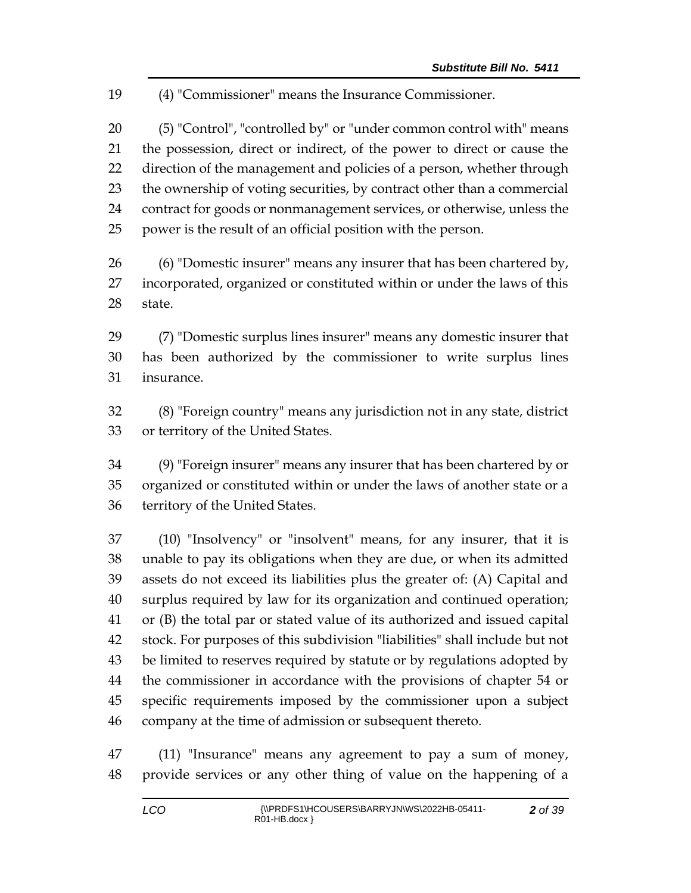(4) "Commissioner" means the Insurance Commissioner.

 (5) "Control", "controlled by" or "under common control with" means the possession, direct or indirect, of the power to direct or cause the 22 direction of the management and policies of a person, whether through the ownership of voting securities, by contract other than a commercial contract for goods or nonmanagement services, or otherwise, unless the power is the result of an official position with the person.

 (6) "Domestic insurer" means any insurer that has been chartered by, incorporated, organized or constituted within or under the laws of this state.

 (7) "Domestic surplus lines insurer" means any domestic insurer that has been authorized by the commissioner to write surplus lines insurance.

 (8) "Foreign country" means any jurisdiction not in any state, district or territory of the United States.

 (9) "Foreign insurer" means any insurer that has been chartered by or organized or constituted within or under the laws of another state or a territory of the United States.

 (10) "Insolvency" or "insolvent" means, for any insurer, that it is unable to pay its obligations when they are due, or when its admitted assets do not exceed its liabilities plus the greater of: (A) Capital and surplus required by law for its organization and continued operation; or (B) the total par or stated value of its authorized and issued capital stock. For purposes of this subdivision "liabilities" shall include but not be limited to reserves required by statute or by regulations adopted by the commissioner in accordance with the provisions of chapter 54 or specific requirements imposed by the commissioner upon a subject company at the time of admission or subsequent thereto.

 (11) "Insurance" means any agreement to pay a sum of money, provide services or any other thing of value on the happening of a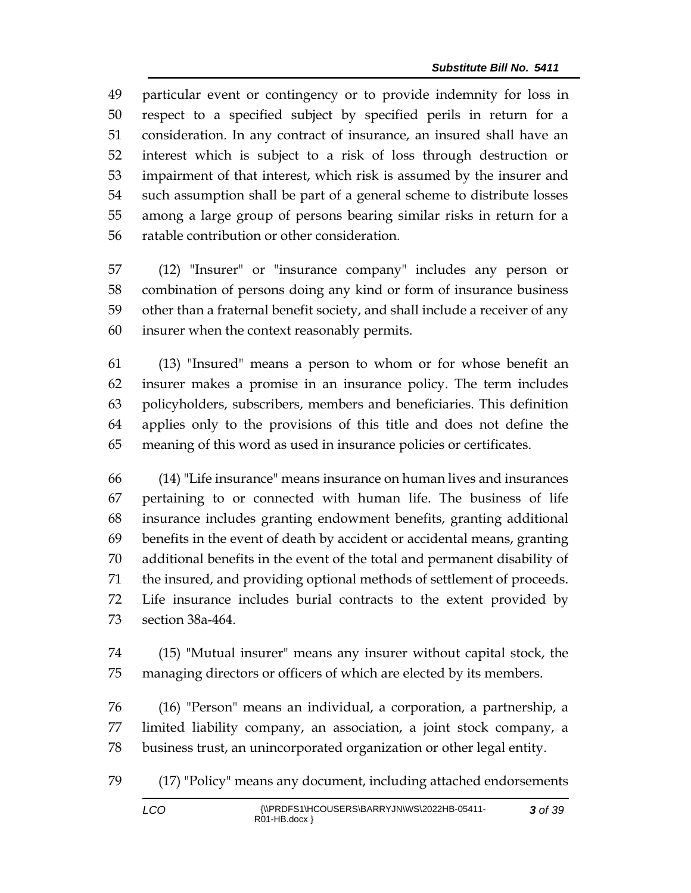particular event or contingency or to provide indemnity for loss in respect to a specified subject by specified perils in return for a consideration. In any contract of insurance, an insured shall have an interest which is subject to a risk of loss through destruction or impairment of that interest, which risk is assumed by the insurer and such assumption shall be part of a general scheme to distribute losses among a large group of persons bearing similar risks in return for a ratable contribution or other consideration.

 (12) "Insurer" or "insurance company" includes any person or combination of persons doing any kind or form of insurance business other than a fraternal benefit society, and shall include a receiver of any insurer when the context reasonably permits.

 (13) "Insured" means a person to whom or for whose benefit an insurer makes a promise in an insurance policy. The term includes policyholders, subscribers, members and beneficiaries. This definition applies only to the provisions of this title and does not define the meaning of this word as used in insurance policies or certificates.

 (14) "Life insurance" means insurance on human lives and insurances pertaining to or connected with human life. The business of life insurance includes granting endowment benefits, granting additional benefits in the event of death by accident or accidental means, granting additional benefits in the event of the total and permanent disability of the insured, and providing optional methods of settlement of proceeds. Life insurance includes burial contracts to the extent provided by section 38a-464.

 (15) "Mutual insurer" means any insurer without capital stock, the managing directors or officers of which are elected by its members.

 (16) "Person" means an individual, a corporation, a partnership, a limited liability company, an association, a joint stock company, a business trust, an unincorporated organization or other legal entity.

(17) "Policy" means any document, including attached endorsements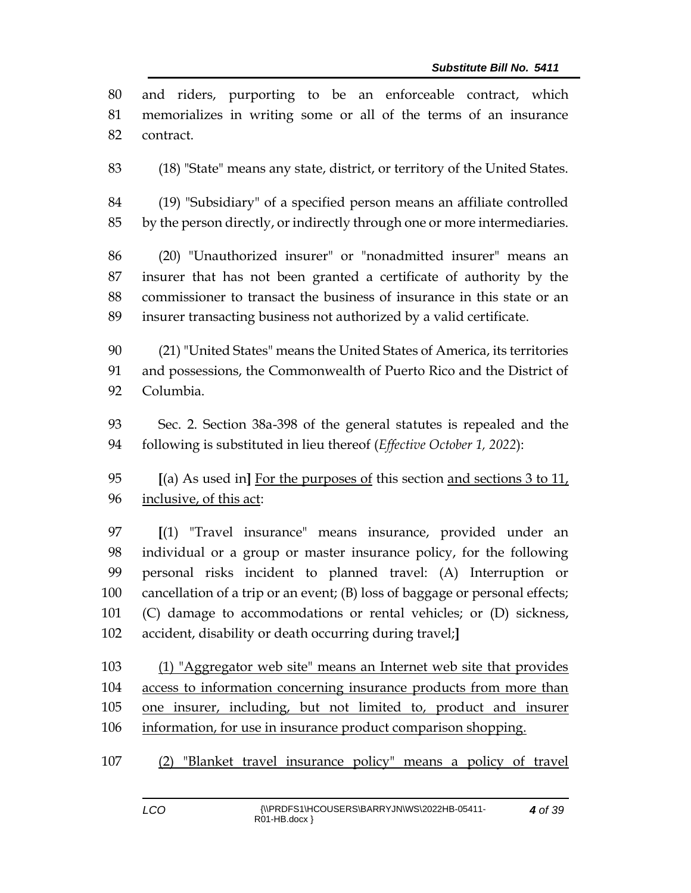| 80  | and riders, purporting to be an enforceable contract, which                  |
|-----|------------------------------------------------------------------------------|
| 81  | memorializes in writing some or all of the terms of an insurance             |
| 82  | contract.                                                                    |
| 83  | (18) "State" means any state, district, or territory of the United States.   |
| 84  | (19) "Subsidiary" of a specified person means an affiliate controlled        |
| 85  | by the person directly, or indirectly through one or more intermediaries.    |
| 86  | (20) "Unauthorized insurer" or "nonadmitted insurer" means an                |
| 87  | insurer that has not been granted a certificate of authority by the          |
| 88  | commissioner to transact the business of insurance in this state or an       |
| 89  | insurer transacting business not authorized by a valid certificate.          |
| 90  | (21) "United States" means the United States of America, its territories     |
| 91  | and possessions, the Commonwealth of Puerto Rico and the District of         |
| 92  | Columbia.                                                                    |
| 93  | Sec. 2. Section 38a-398 of the general statutes is repealed and the          |
| 94  | following is substituted in lieu thereof (Effective October 1, 2022):        |
| 95  | [(a) As used in] For the purposes of this section and sections $3$ to $11$ , |
| 96  | inclusive, of this act:                                                      |
| 97  | [(1) "Travel insurance" means insurance, provided under an                   |
| 98  | individual or a group or master insurance policy, for the following          |
| 99  | personal risks incident to planned travel: (A) Interruption or               |
| 100 | cancellation of a trip or an event; (B) loss of baggage or personal effects; |
| 101 | (C) damage to accommodations or rental vehicles; or (D) sickness,            |
| 102 | accident, disability or death occurring during travel;]                      |
| 103 | (1) "Aggregator web site" means an Internet web site that provides           |
| 104 | access to information concerning insurance products from more than           |
| 105 | one insurer, including, but not limited to, product and insurer              |
| 106 | information, for use in insurance product comparison shopping.               |
| 107 | (2) "Blanket travel insurance policy" means a policy of travel               |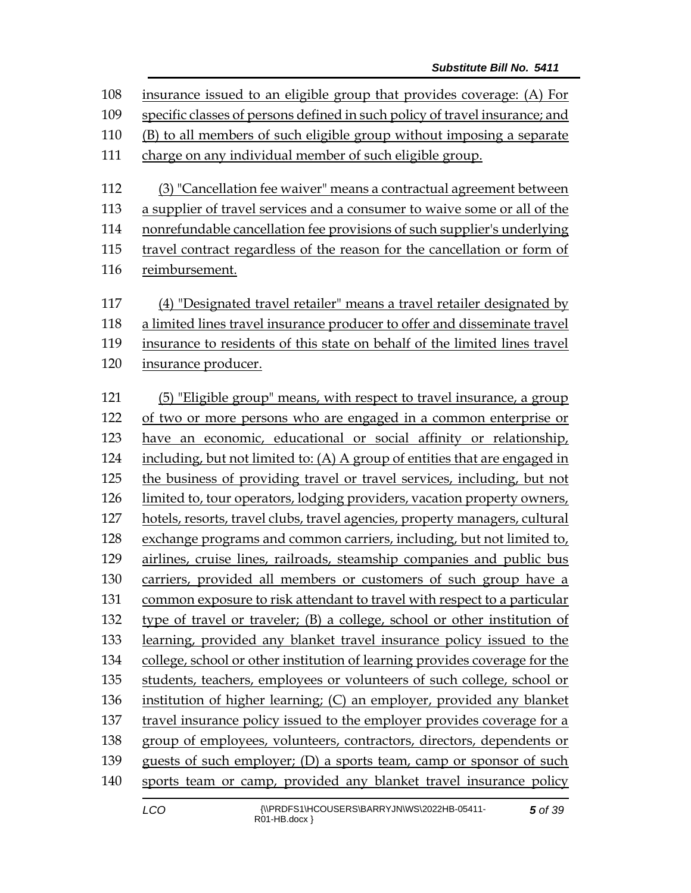insurance issued to an eligible group that provides coverage: (A) For specific classes of persons defined in such policy of travel insurance; and (B) to all members of such eligible group without imposing a separate charge on any individual member of such eligible group. (3) "Cancellation fee waiver" means a contractual agreement between a supplier of travel services and a consumer to waive some or all of the nonrefundable cancellation fee provisions of such supplier's underlying travel contract regardless of the reason for the cancellation or form of reimbursement. (4) "Designated travel retailer" means a travel retailer designated by a limited lines travel insurance producer to offer and disseminate travel insurance to residents of this state on behalf of the limited lines travel insurance producer. (5) "Eligible group" means, with respect to travel insurance, a group of two or more persons who are engaged in a common enterprise or have an economic, educational or social affinity or relationship, including, but not limited to: (A) A group of entities that are engaged in the business of providing travel or travel services, including, but not limited to, tour operators, lodging providers, vacation property owners, hotels, resorts, travel clubs, travel agencies, property managers, cultural exchange programs and common carriers, including, but not limited to, airlines, cruise lines, railroads, steamship companies and public bus carriers, provided all members or customers of such group have a common exposure to risk attendant to travel with respect to a particular type of travel or traveler; (B) a college, school or other institution of learning, provided any blanket travel insurance policy issued to the college, school or other institution of learning provides coverage for the students, teachers, employees or volunteers of such college, school or institution of higher learning; (C) an employer, provided any blanket travel insurance policy issued to the employer provides coverage for a group of employees, volunteers, contractors, directors, dependents or guests of such employer; (D) a sports team, camp or sponsor of such sports team or camp, provided any blanket travel insurance policy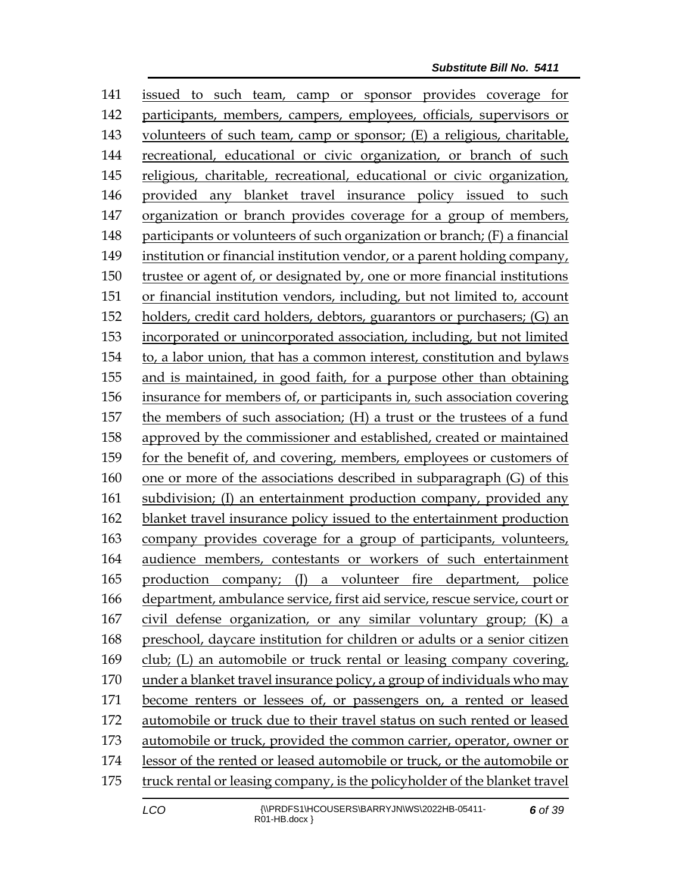issued to such team, camp or sponsor provides coverage for participants, members, campers, employees, officials, supervisors or volunteers of such team, camp or sponsor; (E) a religious, charitable, recreational, educational or civic organization, or branch of such religious, charitable, recreational, educational or civic organization, provided any blanket travel insurance policy issued to such organization or branch provides coverage for a group of members, 148 participants or volunteers of such organization or branch; (F) a financial institution or financial institution vendor, or a parent holding company, trustee or agent of, or designated by, one or more financial institutions or financial institution vendors, including, but not limited to, account holders, credit card holders, debtors, guarantors or purchasers; (G) an incorporated or unincorporated association, including, but not limited to, a labor union, that has a common interest, constitution and bylaws and is maintained, in good faith, for a purpose other than obtaining insurance for members of, or participants in, such association covering the members of such association; (H) a trust or the trustees of a fund approved by the commissioner and established, created or maintained for the benefit of, and covering, members, employees or customers of one or more of the associations described in subparagraph (G) of this subdivision; (I) an entertainment production company, provided any blanket travel insurance policy issued to the entertainment production company provides coverage for a group of participants, volunteers, audience members, contestants or workers of such entertainment production company; (J) a volunteer fire department, police department, ambulance service, first aid service, rescue service, court or civil defense organization, or any similar voluntary group; (K) a preschool, daycare institution for children or adults or a senior citizen club; (L) an automobile or truck rental or leasing company covering, under a blanket travel insurance policy, a group of individuals who may become renters or lessees of, or passengers on, a rented or leased automobile or truck due to their travel status on such rented or leased automobile or truck, provided the common carrier, operator, owner or lessor of the rented or leased automobile or truck, or the automobile or truck rental or leasing company, is the policyholder of the blanket travel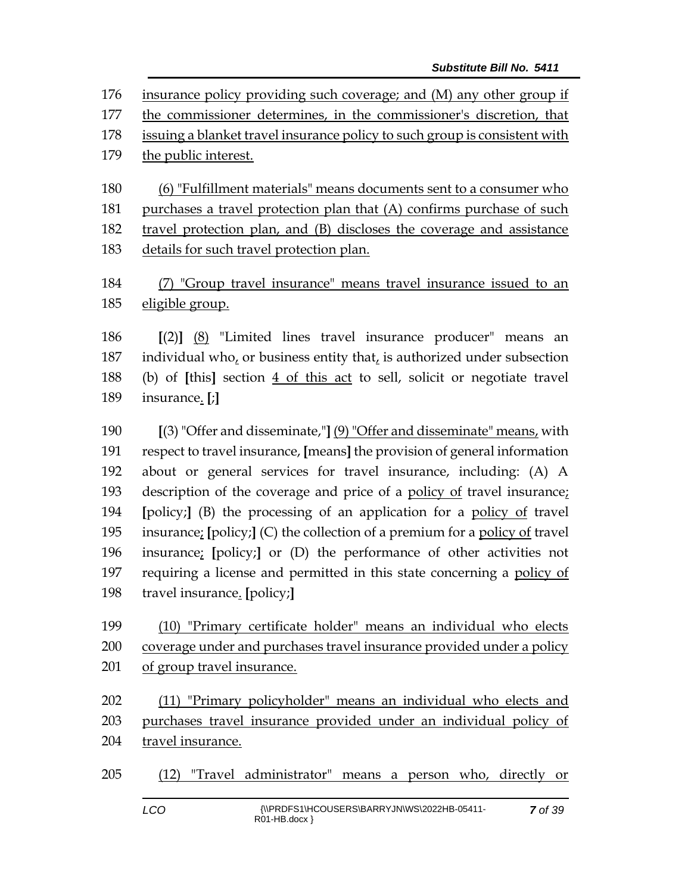insurance policy providing such coverage; and (M) any other group if the commissioner determines, in the commissioner's discretion, that issuing a blanket travel insurance policy to such group is consistent with the public interest. (6) "Fulfillment materials" means documents sent to a consumer who 181 purchases a travel protection plan that (A) confirms purchase of such travel protection plan, and (B) discloses the coverage and assistance details for such travel protection plan.

 (7) "Group travel insurance" means travel insurance issued to an eligible group.

 **[**(2)**]** (8) "Limited lines travel insurance producer" means an individual who, or business entity that, is authorized under subsection (b) of **[**this**]** section 4 of this act to sell, solicit or negotiate travel insurance. **[**;**]**

 **[**(3) "Offer and disseminate,"**]** (9) "Offer and disseminate" means, with respect to travel insurance, **[**means**]** the provision of general information about or general services for travel insurance, including: (A) A description of the coverage and price of a policy of travel insurance; **[**policy;**]** (B) the processing of an application for a policy of travel insurance; **[**policy;**]** (C) the collection of a premium for a policy of travel insurance; **[**policy;**]** or (D) the performance of other activities not requiring a license and permitted in this state concerning a policy of travel insurance. **[**policy;**]**

 (10) "Primary certificate holder" means an individual who elects coverage under and purchases travel insurance provided under a policy of group travel insurance.

 (11) "Primary policyholder" means an individual who elects and purchases travel insurance provided under an individual policy of travel insurance.

(12) "Travel administrator" means a person who, directly or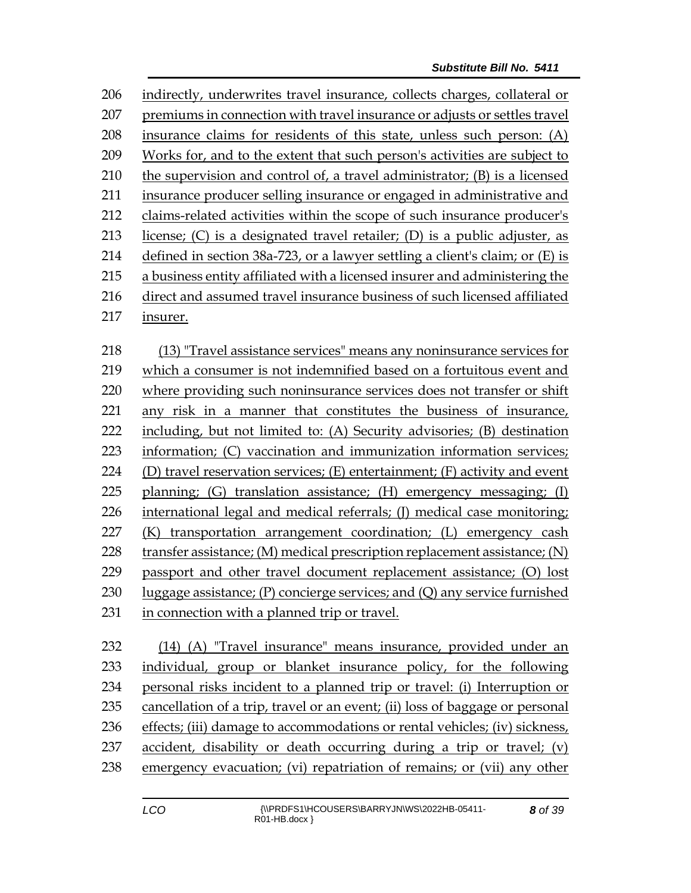indirectly, underwrites travel insurance, collects charges, collateral or premiums in connection with travel insurance or adjusts or settles travel insurance claims for residents of this state, unless such person: (A) Works for, and to the extent that such person's activities are subject to the supervision and control of, a travel administrator; (B) is a licensed insurance producer selling insurance or engaged in administrative and claims-related activities within the scope of such insurance producer's license; (C) is a designated travel retailer; (D) is a public adjuster, as defined in section 38a-723, or a lawyer settling a client's claim; or (E) is a business entity affiliated with a licensed insurer and administering the direct and assumed travel insurance business of such licensed affiliated insurer. (13) "Travel assistance services" means any noninsurance services for

 which a consumer is not indemnified based on a fortuitous event and where providing such noninsurance services does not transfer or shift any risk in a manner that constitutes the business of insurance, including, but not limited to: (A) Security advisories; (B) destination information; (C) vaccination and immunization information services; (D) travel reservation services; (E) entertainment; (F) activity and event planning; (G) translation assistance; (H) emergency messaging; (I) 226 international legal and medical referrals; (I) medical case monitoring; (K) transportation arrangement coordination; (L) emergency cash 228 transfer assistance; (M) medical prescription replacement assistance; (N) passport and other travel document replacement assistance; (O) lost luggage assistance; (P) concierge services; and (Q) any service furnished in connection with a planned trip or travel.

 (14) (A) "Travel insurance" means insurance, provided under an individual, group or blanket insurance policy, for the following personal risks incident to a planned trip or travel: (i) Interruption or cancellation of a trip, travel or an event; (ii) loss of baggage or personal effects; (iii) damage to accommodations or rental vehicles; (iv) sickness, accident, disability or death occurring during a trip or travel; (v) emergency evacuation; (vi) repatriation of remains; or (vii) any other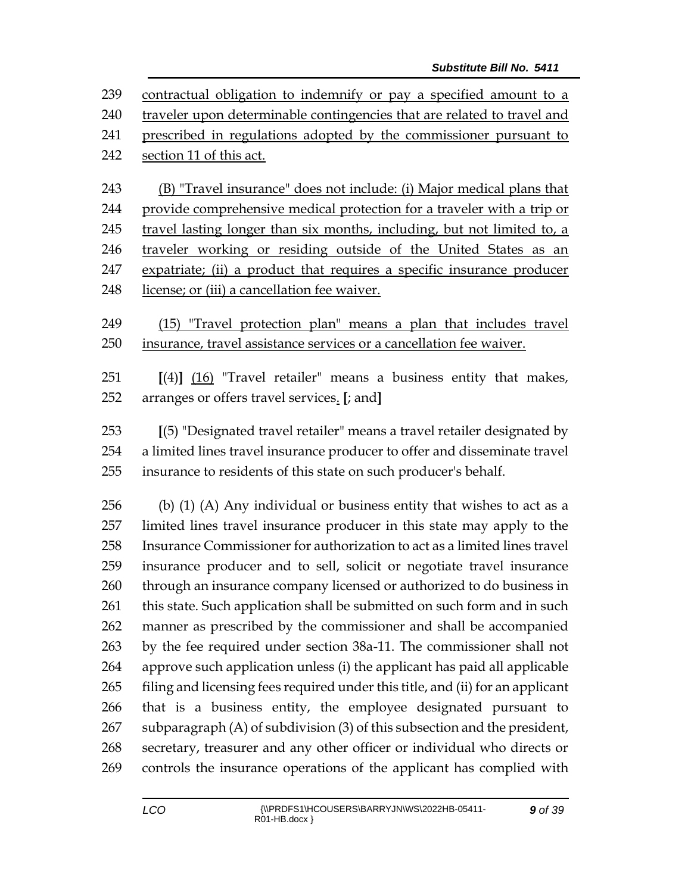contractual obligation to indemnify or pay a specified amount to a 240 traveler upon determinable contingencies that are related to travel and prescribed in regulations adopted by the commissioner pursuant to section 11 of this act. (B) "Travel insurance" does not include: (i) Major medical plans that provide comprehensive medical protection for a traveler with a trip or travel lasting longer than six months, including, but not limited to, a traveler working or residing outside of the United States as an expatriate; (ii) a product that requires a specific insurance producer 248 license; or (iii) a cancellation fee waiver. (15) "Travel protection plan" means a plan that includes travel insurance, travel assistance services or a cancellation fee waiver. **[**(4)**]** (16) "Travel retailer" means a business entity that makes, arranges or offers travel services. **[**; and**] [**(5) "Designated travel retailer" means a travel retailer designated by a limited lines travel insurance producer to offer and disseminate travel insurance to residents of this state on such producer's behalf. (b) (1) (A) Any individual or business entity that wishes to act as a limited lines travel insurance producer in this state may apply to the Insurance Commissioner for authorization to act as a limited lines travel insurance producer and to sell, solicit or negotiate travel insurance through an insurance company licensed or authorized to do business in 261 this state. Such application shall be submitted on such form and in such manner as prescribed by the commissioner and shall be accompanied by the fee required under section 38a-11. The commissioner shall not approve such application unless (i) the applicant has paid all applicable filing and licensing fees required under this title, and (ii) for an applicant that is a business entity, the employee designated pursuant to subparagraph (A) of subdivision (3) of this subsection and the president, secretary, treasurer and any other officer or individual who directs or controls the insurance operations of the applicant has complied with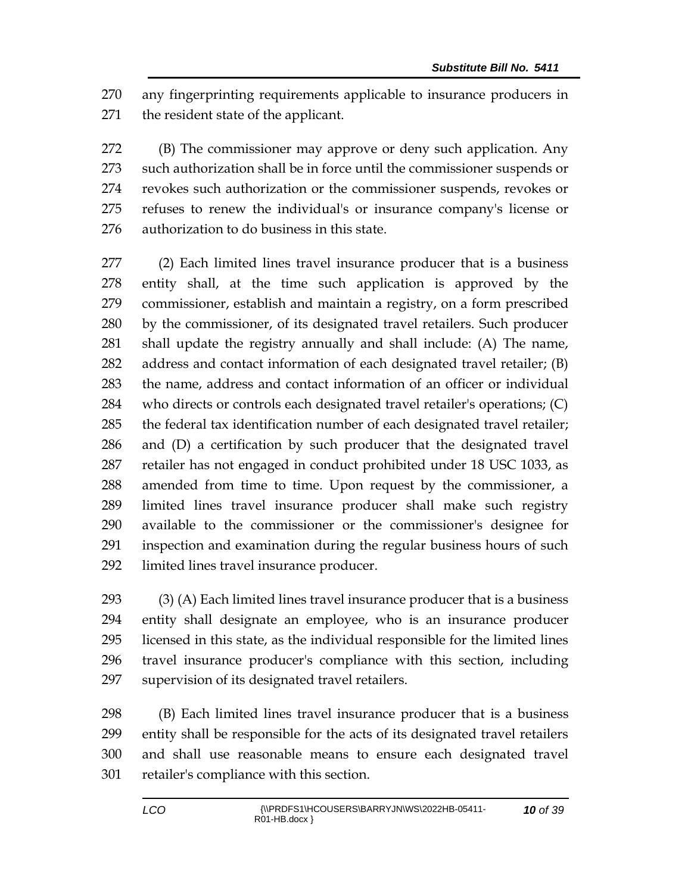any fingerprinting requirements applicable to insurance producers in the resident state of the applicant.

 (B) The commissioner may approve or deny such application. Any such authorization shall be in force until the commissioner suspends or revokes such authorization or the commissioner suspends, revokes or refuses to renew the individual's or insurance company's license or authorization to do business in this state.

 (2) Each limited lines travel insurance producer that is a business entity shall, at the time such application is approved by the commissioner, establish and maintain a registry, on a form prescribed by the commissioner, of its designated travel retailers. Such producer shall update the registry annually and shall include: (A) The name, address and contact information of each designated travel retailer; (B) the name, address and contact information of an officer or individual who directs or controls each designated travel retailer's operations; (C) the federal tax identification number of each designated travel retailer; and (D) a certification by such producer that the designated travel retailer has not engaged in conduct prohibited under 18 USC 1033, as amended from time to time. Upon request by the commissioner, a limited lines travel insurance producer shall make such registry available to the commissioner or the commissioner's designee for inspection and examination during the regular business hours of such limited lines travel insurance producer.

 (3) (A) Each limited lines travel insurance producer that is a business entity shall designate an employee, who is an insurance producer licensed in this state, as the individual responsible for the limited lines travel insurance producer's compliance with this section, including supervision of its designated travel retailers.

 (B) Each limited lines travel insurance producer that is a business entity shall be responsible for the acts of its designated travel retailers and shall use reasonable means to ensure each designated travel retailer's compliance with this section.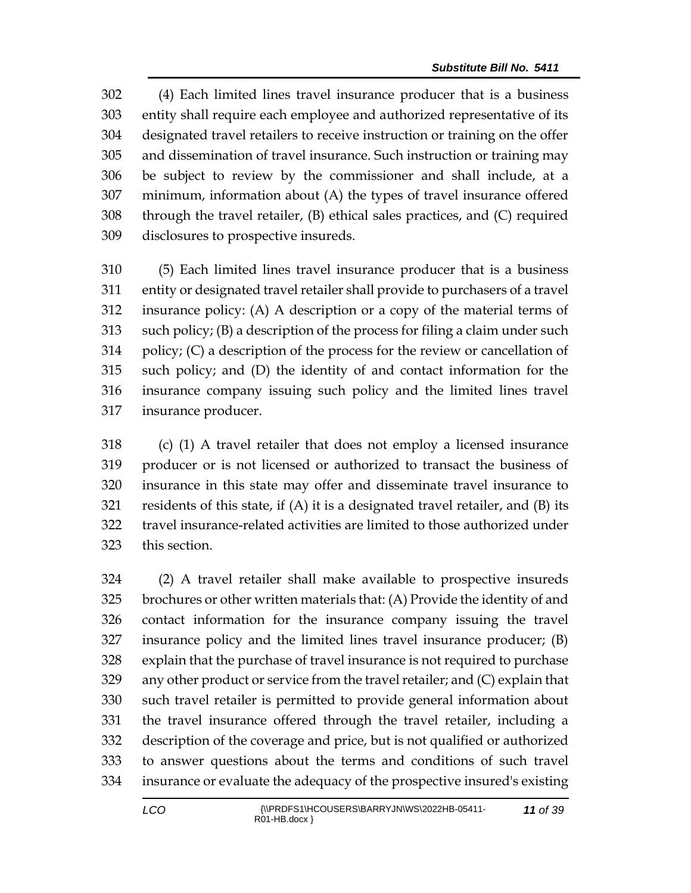(4) Each limited lines travel insurance producer that is a business entity shall require each employee and authorized representative of its designated travel retailers to receive instruction or training on the offer and dissemination of travel insurance. Such instruction or training may be subject to review by the commissioner and shall include, at a minimum, information about (A) the types of travel insurance offered through the travel retailer, (B) ethical sales practices, and (C) required disclosures to prospective insureds.

 (5) Each limited lines travel insurance producer that is a business entity or designated travel retailer shall provide to purchasers of a travel insurance policy: (A) A description or a copy of the material terms of such policy; (B) a description of the process for filing a claim under such policy; (C) a description of the process for the review or cancellation of such policy; and (D) the identity of and contact information for the insurance company issuing such policy and the limited lines travel insurance producer.

 (c) (1) A travel retailer that does not employ a licensed insurance producer or is not licensed or authorized to transact the business of insurance in this state may offer and disseminate travel insurance to residents of this state, if (A) it is a designated travel retailer, and (B) its travel insurance-related activities are limited to those authorized under this section.

 (2) A travel retailer shall make available to prospective insureds brochures or other written materials that: (A) Provide the identity of and contact information for the insurance company issuing the travel insurance policy and the limited lines travel insurance producer; (B) explain that the purchase of travel insurance is not required to purchase any other product or service from the travel retailer; and (C) explain that such travel retailer is permitted to provide general information about the travel insurance offered through the travel retailer, including a description of the coverage and price, but is not qualified or authorized to answer questions about the terms and conditions of such travel insurance or evaluate the adequacy of the prospective insured's existing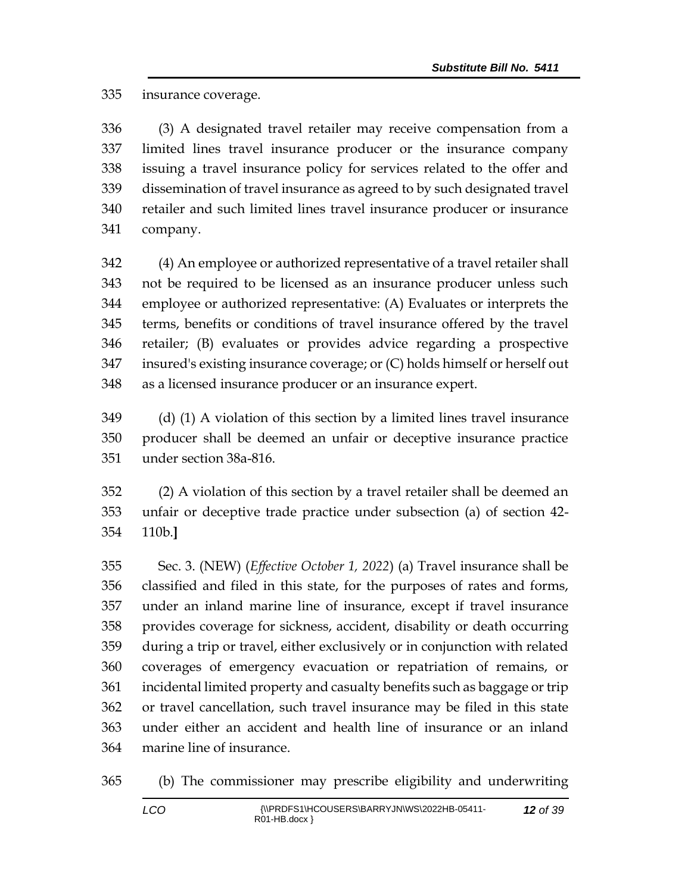insurance coverage.

 (3) A designated travel retailer may receive compensation from a limited lines travel insurance producer or the insurance company issuing a travel insurance policy for services related to the offer and dissemination of travel insurance as agreed to by such designated travel retailer and such limited lines travel insurance producer or insurance company.

 (4) An employee or authorized representative of a travel retailer shall not be required to be licensed as an insurance producer unless such employee or authorized representative: (A) Evaluates or interprets the terms, benefits or conditions of travel insurance offered by the travel retailer; (B) evaluates or provides advice regarding a prospective insured's existing insurance coverage; or (C) holds himself or herself out as a licensed insurance producer or an insurance expert.

 (d) (1) A violation of this section by a limited lines travel insurance producer shall be deemed an unfair or deceptive insurance practice under section 38a-816.

 (2) A violation of this section by a travel retailer shall be deemed an unfair or deceptive trade practice under subsection (a) of section 42- 110b.**]**

 Sec. 3. (NEW) (*Effective October 1, 2022*) (a) Travel insurance shall be classified and filed in this state, for the purposes of rates and forms, under an inland marine line of insurance, except if travel insurance provides coverage for sickness, accident, disability or death occurring during a trip or travel, either exclusively or in conjunction with related coverages of emergency evacuation or repatriation of remains, or incidental limited property and casualty benefits such as baggage or trip or travel cancellation, such travel insurance may be filed in this state under either an accident and health line of insurance or an inland marine line of insurance.

(b) The commissioner may prescribe eligibility and underwriting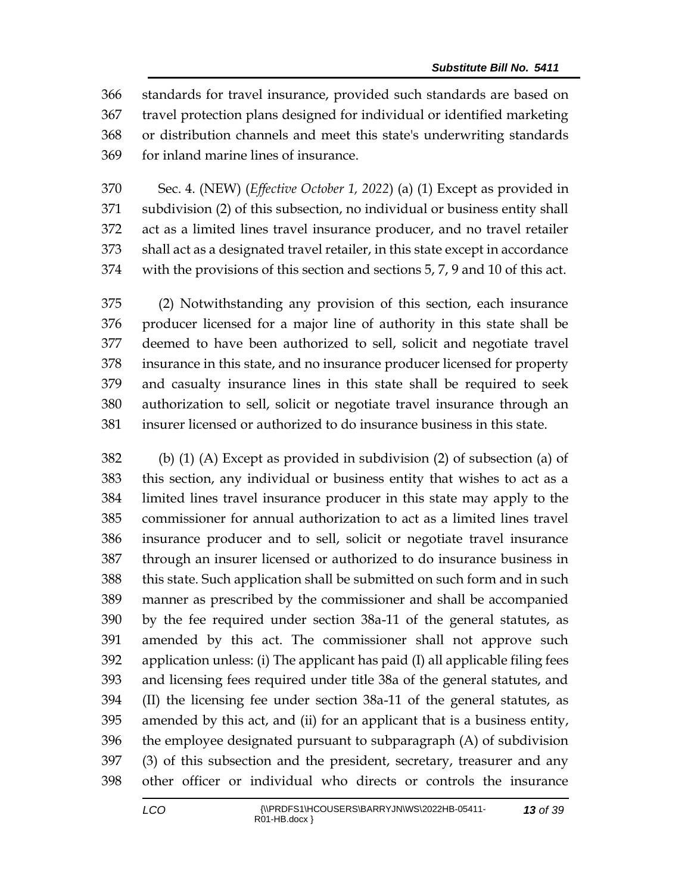standards for travel insurance, provided such standards are based on travel protection plans designed for individual or identified marketing or distribution channels and meet this state's underwriting standards for inland marine lines of insurance.

 Sec. 4. (NEW) (*Effective October 1, 2022*) (a) (1) Except as provided in subdivision (2) of this subsection, no individual or business entity shall act as a limited lines travel insurance producer, and no travel retailer shall act as a designated travel retailer, in this state except in accordance with the provisions of this section and sections 5, 7, 9 and 10 of this act.

 (2) Notwithstanding any provision of this section, each insurance producer licensed for a major line of authority in this state shall be deemed to have been authorized to sell, solicit and negotiate travel insurance in this state, and no insurance producer licensed for property and casualty insurance lines in this state shall be required to seek authorization to sell, solicit or negotiate travel insurance through an insurer licensed or authorized to do insurance business in this state.

 (b) (1) (A) Except as provided in subdivision (2) of subsection (a) of this section, any individual or business entity that wishes to act as a limited lines travel insurance producer in this state may apply to the commissioner for annual authorization to act as a limited lines travel insurance producer and to sell, solicit or negotiate travel insurance through an insurer licensed or authorized to do insurance business in this state. Such application shall be submitted on such form and in such manner as prescribed by the commissioner and shall be accompanied by the fee required under section 38a-11 of the general statutes, as amended by this act. The commissioner shall not approve such application unless: (i) The applicant has paid (I) all applicable filing fees and licensing fees required under title 38a of the general statutes, and (II) the licensing fee under section 38a-11 of the general statutes, as amended by this act, and (ii) for an applicant that is a business entity, the employee designated pursuant to subparagraph (A) of subdivision (3) of this subsection and the president, secretary, treasurer and any other officer or individual who directs or controls the insurance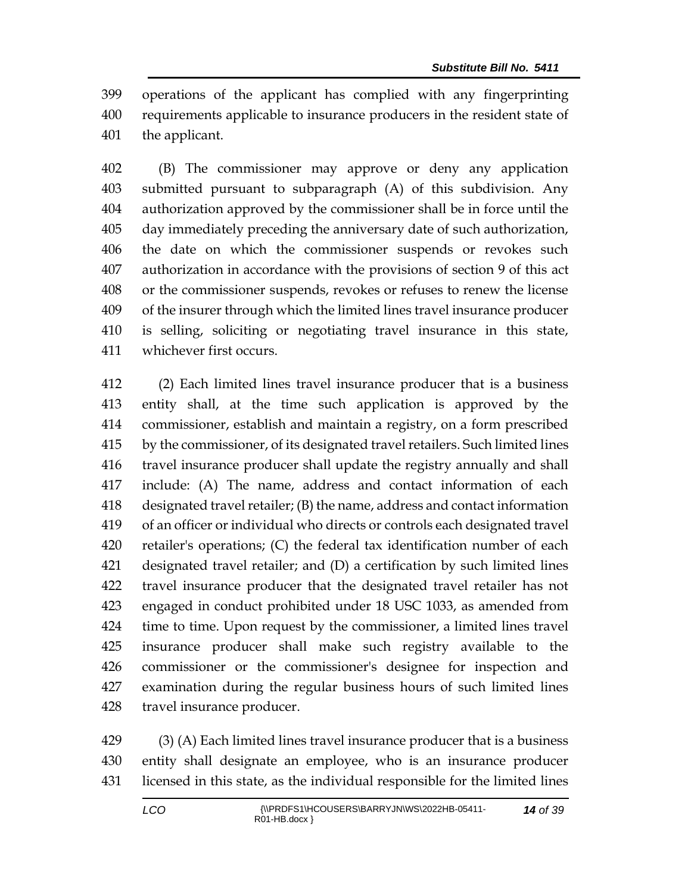operations of the applicant has complied with any fingerprinting requirements applicable to insurance producers in the resident state of the applicant.

 (B) The commissioner may approve or deny any application submitted pursuant to subparagraph (A) of this subdivision. Any authorization approved by the commissioner shall be in force until the day immediately preceding the anniversary date of such authorization, the date on which the commissioner suspends or revokes such authorization in accordance with the provisions of section 9 of this act or the commissioner suspends, revokes or refuses to renew the license of the insurer through which the limited lines travel insurance producer is selling, soliciting or negotiating travel insurance in this state, whichever first occurs.

 (2) Each limited lines travel insurance producer that is a business entity shall, at the time such application is approved by the commissioner, establish and maintain a registry, on a form prescribed by the commissioner, of its designated travel retailers. Such limited lines travel insurance producer shall update the registry annually and shall include: (A) The name, address and contact information of each designated travel retailer; (B) the name, address and contact information of an officer or individual who directs or controls each designated travel retailer's operations; (C) the federal tax identification number of each designated travel retailer; and (D) a certification by such limited lines travel insurance producer that the designated travel retailer has not engaged in conduct prohibited under 18 USC 1033, as amended from time to time. Upon request by the commissioner, a limited lines travel insurance producer shall make such registry available to the commissioner or the commissioner's designee for inspection and examination during the regular business hours of such limited lines travel insurance producer.

 (3) (A) Each limited lines travel insurance producer that is a business entity shall designate an employee, who is an insurance producer licensed in this state, as the individual responsible for the limited lines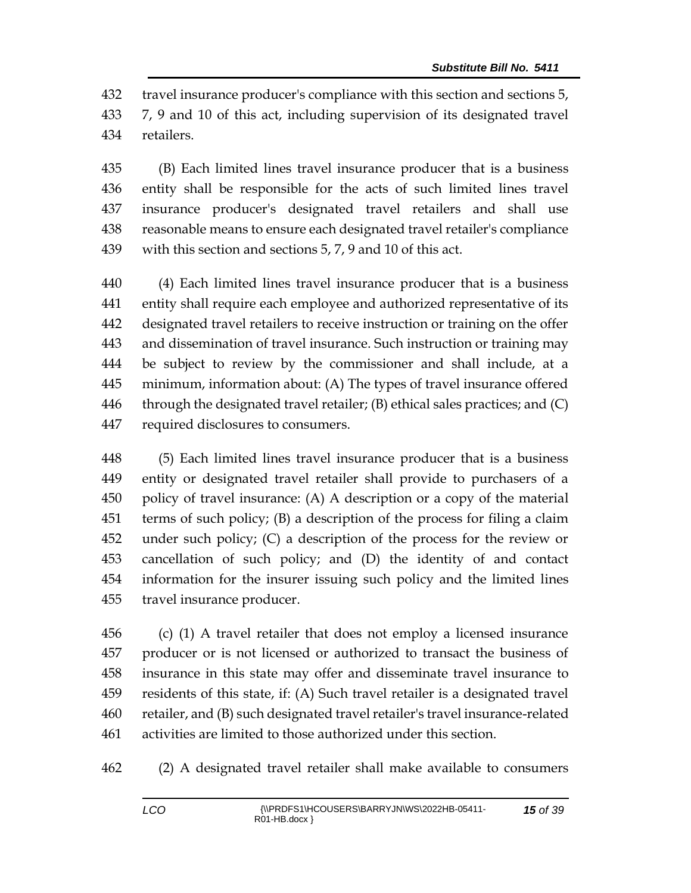travel insurance producer's compliance with this section and sections 5,

 7, 9 and 10 of this act, including supervision of its designated travel retailers.

 (B) Each limited lines travel insurance producer that is a business entity shall be responsible for the acts of such limited lines travel insurance producer's designated travel retailers and shall use reasonable means to ensure each designated travel retailer's compliance with this section and sections 5, 7, 9 and 10 of this act.

 (4) Each limited lines travel insurance producer that is a business entity shall require each employee and authorized representative of its designated travel retailers to receive instruction or training on the offer and dissemination of travel insurance. Such instruction or training may be subject to review by the commissioner and shall include, at a minimum, information about: (A) The types of travel insurance offered 446 through the designated travel retailer;  $(B)$  ethical sales practices; and  $(C)$ required disclosures to consumers.

 (5) Each limited lines travel insurance producer that is a business entity or designated travel retailer shall provide to purchasers of a policy of travel insurance: (A) A description or a copy of the material terms of such policy; (B) a description of the process for filing a claim under such policy; (C) a description of the process for the review or cancellation of such policy; and (D) the identity of and contact information for the insurer issuing such policy and the limited lines travel insurance producer.

 (c) (1) A travel retailer that does not employ a licensed insurance producer or is not licensed or authorized to transact the business of insurance in this state may offer and disseminate travel insurance to residents of this state, if: (A) Such travel retailer is a designated travel retailer, and (B) such designated travel retailer's travel insurance-related activities are limited to those authorized under this section.

(2) A designated travel retailer shall make available to consumers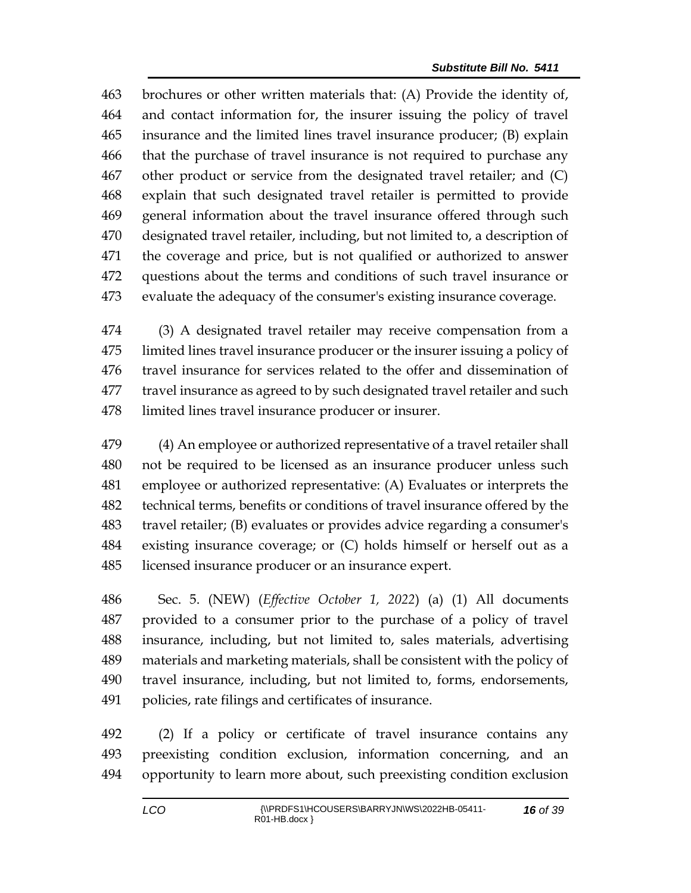brochures or other written materials that: (A) Provide the identity of, and contact information for, the insurer issuing the policy of travel insurance and the limited lines travel insurance producer; (B) explain that the purchase of travel insurance is not required to purchase any other product or service from the designated travel retailer; and (C) explain that such designated travel retailer is permitted to provide general information about the travel insurance offered through such designated travel retailer, including, but not limited to, a description of the coverage and price, but is not qualified or authorized to answer questions about the terms and conditions of such travel insurance or evaluate the adequacy of the consumer's existing insurance coverage.

 (3) A designated travel retailer may receive compensation from a limited lines travel insurance producer or the insurer issuing a policy of travel insurance for services related to the offer and dissemination of travel insurance as agreed to by such designated travel retailer and such limited lines travel insurance producer or insurer.

 (4) An employee or authorized representative of a travel retailer shall not be required to be licensed as an insurance producer unless such employee or authorized representative: (A) Evaluates or interprets the technical terms, benefits or conditions of travel insurance offered by the travel retailer; (B) evaluates or provides advice regarding a consumer's existing insurance coverage; or (C) holds himself or herself out as a licensed insurance producer or an insurance expert.

 Sec. 5. (NEW) (*Effective October 1, 2022*) (a) (1) All documents provided to a consumer prior to the purchase of a policy of travel insurance, including, but not limited to, sales materials, advertising materials and marketing materials, shall be consistent with the policy of travel insurance, including, but not limited to, forms, endorsements, policies, rate filings and certificates of insurance.

 (2) If a policy or certificate of travel insurance contains any preexisting condition exclusion, information concerning, and an opportunity to learn more about, such preexisting condition exclusion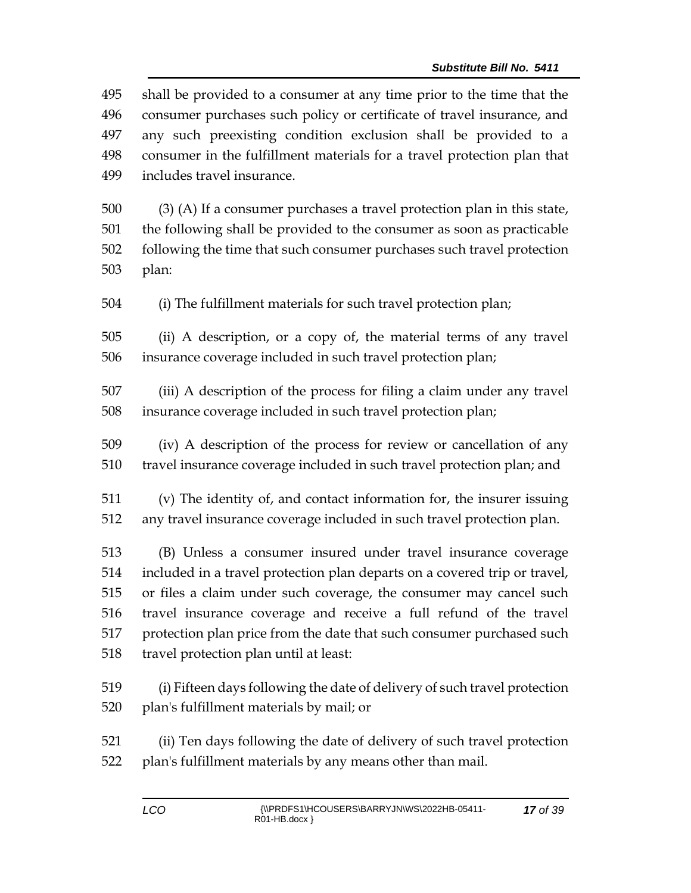shall be provided to a consumer at any time prior to the time that the consumer purchases such policy or certificate of travel insurance, and any such preexisting condition exclusion shall be provided to a consumer in the fulfillment materials for a travel protection plan that includes travel insurance.

 (3) (A) If a consumer purchases a travel protection plan in this state, the following shall be provided to the consumer as soon as practicable following the time that such consumer purchases such travel protection plan:

(i) The fulfillment materials for such travel protection plan;

 (ii) A description, or a copy of, the material terms of any travel insurance coverage included in such travel protection plan;

 (iii) A description of the process for filing a claim under any travel insurance coverage included in such travel protection plan;

 (iv) A description of the process for review or cancellation of any travel insurance coverage included in such travel protection plan; and

 (v) The identity of, and contact information for, the insurer issuing any travel insurance coverage included in such travel protection plan.

 (B) Unless a consumer insured under travel insurance coverage included in a travel protection plan departs on a covered trip or travel, or files a claim under such coverage, the consumer may cancel such travel insurance coverage and receive a full refund of the travel protection plan price from the date that such consumer purchased such travel protection plan until at least:

 (i) Fifteen days following the date of delivery of such travel protection plan's fulfillment materials by mail; or

 (ii) Ten days following the date of delivery of such travel protection plan's fulfillment materials by any means other than mail.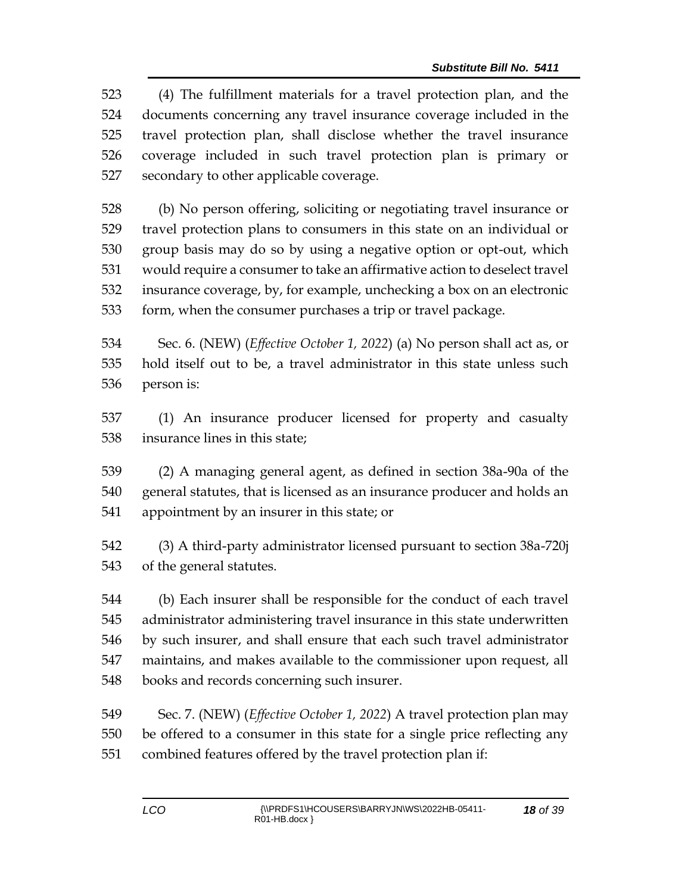(4) The fulfillment materials for a travel protection plan, and the documents concerning any travel insurance coverage included in the travel protection plan, shall disclose whether the travel insurance coverage included in such travel protection plan is primary or secondary to other applicable coverage.

 (b) No person offering, soliciting or negotiating travel insurance or travel protection plans to consumers in this state on an individual or group basis may do so by using a negative option or opt-out, which would require a consumer to take an affirmative action to deselect travel insurance coverage, by, for example, unchecking a box on an electronic form, when the consumer purchases a trip or travel package.

 Sec. 6. (NEW) (*Effective October 1, 2022*) (a) No person shall act as, or hold itself out to be, a travel administrator in this state unless such person is:

 (1) An insurance producer licensed for property and casualty insurance lines in this state;

 (2) A managing general agent, as defined in section 38a-90a of the general statutes, that is licensed as an insurance producer and holds an appointment by an insurer in this state; or

 (3) A third-party administrator licensed pursuant to section 38a-720j of the general statutes.

 (b) Each insurer shall be responsible for the conduct of each travel administrator administering travel insurance in this state underwritten by such insurer, and shall ensure that each such travel administrator maintains, and makes available to the commissioner upon request, all books and records concerning such insurer.

 Sec. 7. (NEW) (*Effective October 1, 2022*) A travel protection plan may be offered to a consumer in this state for a single price reflecting any combined features offered by the travel protection plan if: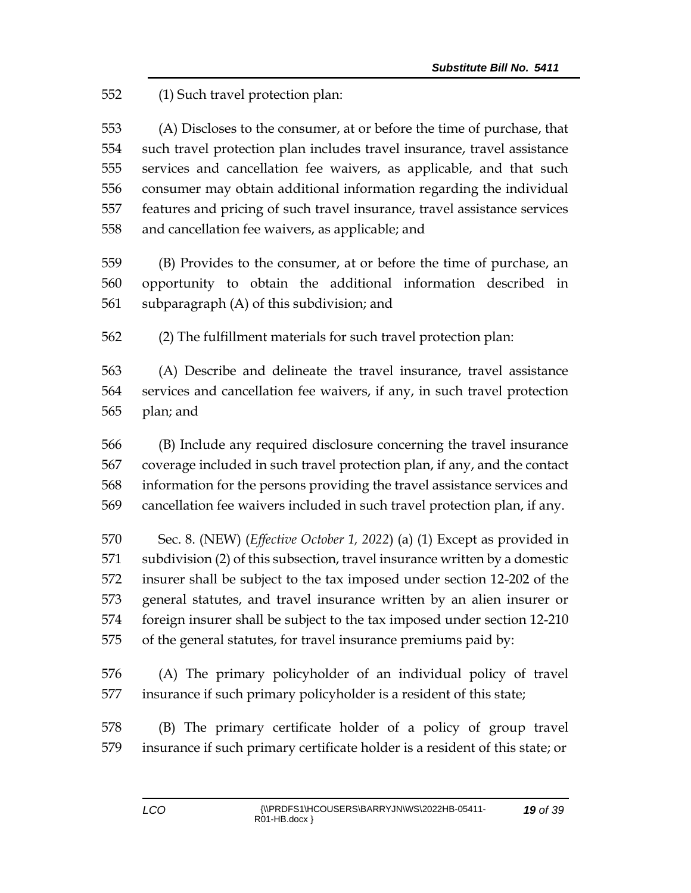(1) Such travel protection plan:

 (A) Discloses to the consumer, at or before the time of purchase, that such travel protection plan includes travel insurance, travel assistance services and cancellation fee waivers, as applicable, and that such consumer may obtain additional information regarding the individual features and pricing of such travel insurance, travel assistance services and cancellation fee waivers, as applicable; and

 (B) Provides to the consumer, at or before the time of purchase, an opportunity to obtain the additional information described in subparagraph (A) of this subdivision; and

(2) The fulfillment materials for such travel protection plan:

 (A) Describe and delineate the travel insurance, travel assistance services and cancellation fee waivers, if any, in such travel protection plan; and

 (B) Include any required disclosure concerning the travel insurance coverage included in such travel protection plan, if any, and the contact information for the persons providing the travel assistance services and cancellation fee waivers included in such travel protection plan, if any.

 Sec. 8. (NEW) (*Effective October 1, 2022*) (a) (1) Except as provided in subdivision (2) of this subsection, travel insurance written by a domestic insurer shall be subject to the tax imposed under section 12-202 of the general statutes, and travel insurance written by an alien insurer or foreign insurer shall be subject to the tax imposed under section 12-210 of the general statutes, for travel insurance premiums paid by:

 (A) The primary policyholder of an individual policy of travel insurance if such primary policyholder is a resident of this state;

 (B) The primary certificate holder of a policy of group travel insurance if such primary certificate holder is a resident of this state; or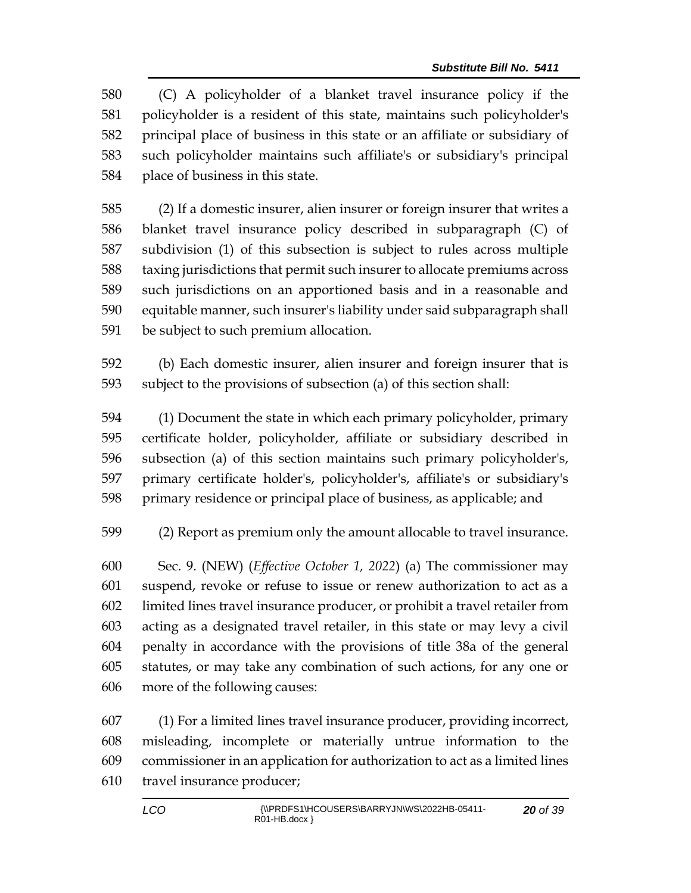(C) A policyholder of a blanket travel insurance policy if the policyholder is a resident of this state, maintains such policyholder's principal place of business in this state or an affiliate or subsidiary of such policyholder maintains such affiliate's or subsidiary's principal place of business in this state.

 (2) If a domestic insurer, alien insurer or foreign insurer that writes a blanket travel insurance policy described in subparagraph (C) of subdivision (1) of this subsection is subject to rules across multiple taxing jurisdictions that permit such insurer to allocate premiums across such jurisdictions on an apportioned basis and in a reasonable and equitable manner, such insurer's liability under said subparagraph shall be subject to such premium allocation.

 (b) Each domestic insurer, alien insurer and foreign insurer that is subject to the provisions of subsection (a) of this section shall:

 (1) Document the state in which each primary policyholder, primary certificate holder, policyholder, affiliate or subsidiary described in subsection (a) of this section maintains such primary policyholder's, primary certificate holder's, policyholder's, affiliate's or subsidiary's primary residence or principal place of business, as applicable; and

(2) Report as premium only the amount allocable to travel insurance.

 Sec. 9. (NEW) (*Effective October 1, 2022*) (a) The commissioner may suspend, revoke or refuse to issue or renew authorization to act as a limited lines travel insurance producer, or prohibit a travel retailer from acting as a designated travel retailer, in this state or may levy a civil penalty in accordance with the provisions of title 38a of the general statutes, or may take any combination of such actions, for any one or more of the following causes:

 (1) For a limited lines travel insurance producer, providing incorrect, misleading, incomplete or materially untrue information to the commissioner in an application for authorization to act as a limited lines travel insurance producer;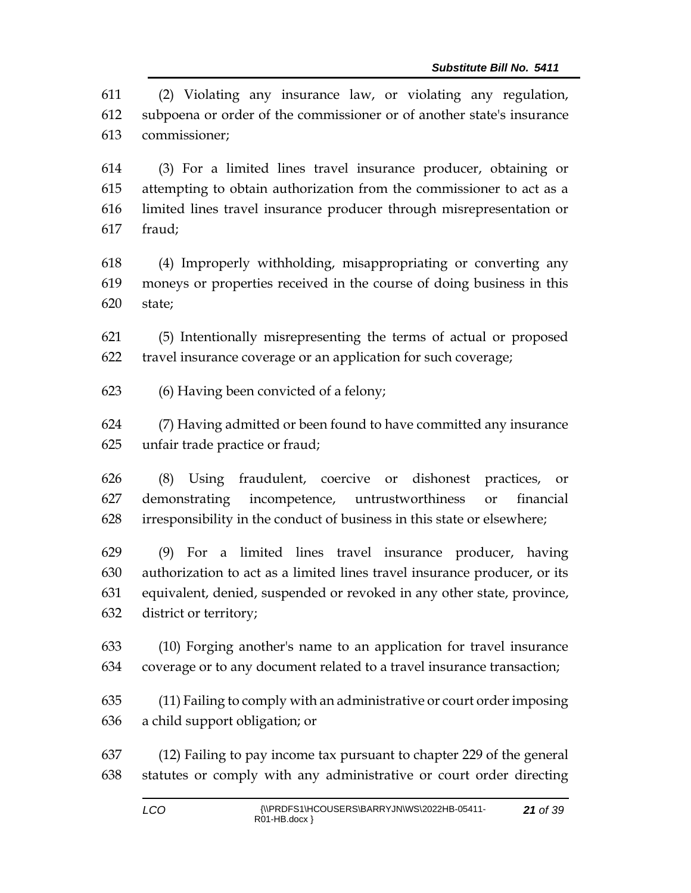(2) Violating any insurance law, or violating any regulation, subpoena or order of the commissioner or of another state's insurance commissioner;

 (3) For a limited lines travel insurance producer, obtaining or attempting to obtain authorization from the commissioner to act as a limited lines travel insurance producer through misrepresentation or fraud;

 (4) Improperly withholding, misappropriating or converting any moneys or properties received in the course of doing business in this state;

 (5) Intentionally misrepresenting the terms of actual or proposed travel insurance coverage or an application for such coverage;

(6) Having been convicted of a felony;

 (7) Having admitted or been found to have committed any insurance unfair trade practice or fraud;

 (8) Using fraudulent, coercive or dishonest practices, or demonstrating incompetence, untrustworthiness or financial irresponsibility in the conduct of business in this state or elsewhere;

 (9) For a limited lines travel insurance producer, having authorization to act as a limited lines travel insurance producer, or its equivalent, denied, suspended or revoked in any other state, province, district or territory;

 (10) Forging another's name to an application for travel insurance coverage or to any document related to a travel insurance transaction;

 (11) Failing to comply with an administrative or court order imposing a child support obligation; or

 (12) Failing to pay income tax pursuant to chapter 229 of the general statutes or comply with any administrative or court order directing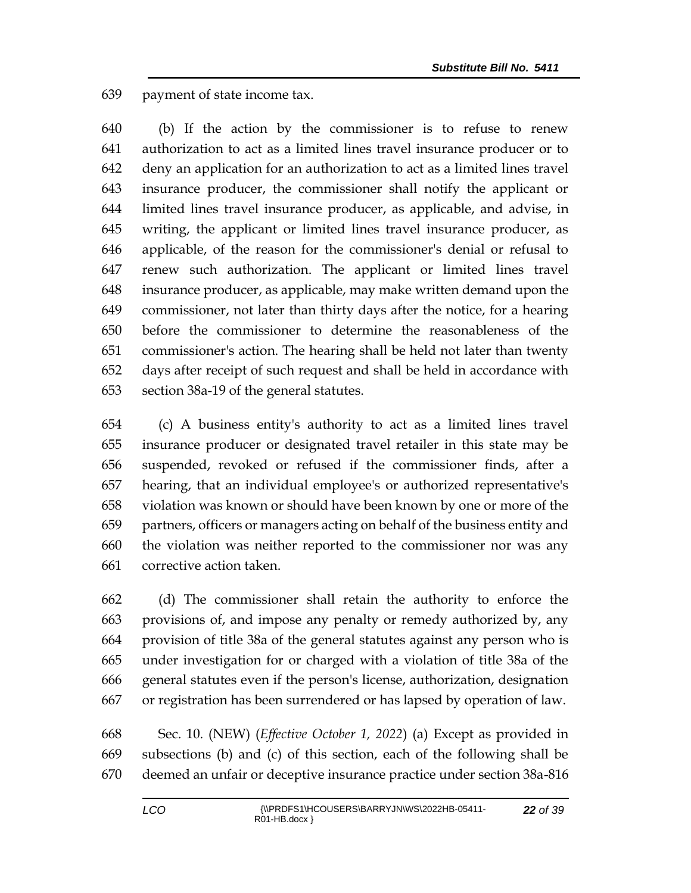payment of state income tax.

 (b) If the action by the commissioner is to refuse to renew authorization to act as a limited lines travel insurance producer or to deny an application for an authorization to act as a limited lines travel insurance producer, the commissioner shall notify the applicant or limited lines travel insurance producer, as applicable, and advise, in writing, the applicant or limited lines travel insurance producer, as applicable, of the reason for the commissioner's denial or refusal to renew such authorization. The applicant or limited lines travel insurance producer, as applicable, may make written demand upon the commissioner, not later than thirty days after the notice, for a hearing before the commissioner to determine the reasonableness of the commissioner's action. The hearing shall be held not later than twenty days after receipt of such request and shall be held in accordance with section 38a-19 of the general statutes.

 (c) A business entity's authority to act as a limited lines travel insurance producer or designated travel retailer in this state may be suspended, revoked or refused if the commissioner finds, after a hearing, that an individual employee's or authorized representative's violation was known or should have been known by one or more of the partners, officers or managers acting on behalf of the business entity and the violation was neither reported to the commissioner nor was any corrective action taken.

 (d) The commissioner shall retain the authority to enforce the provisions of, and impose any penalty or remedy authorized by, any provision of title 38a of the general statutes against any person who is under investigation for or charged with a violation of title 38a of the general statutes even if the person's license, authorization, designation or registration has been surrendered or has lapsed by operation of law.

 Sec. 10. (NEW) (*Effective October 1, 2022*) (a) Except as provided in subsections (b) and (c) of this section, each of the following shall be deemed an unfair or deceptive insurance practice under section 38a-816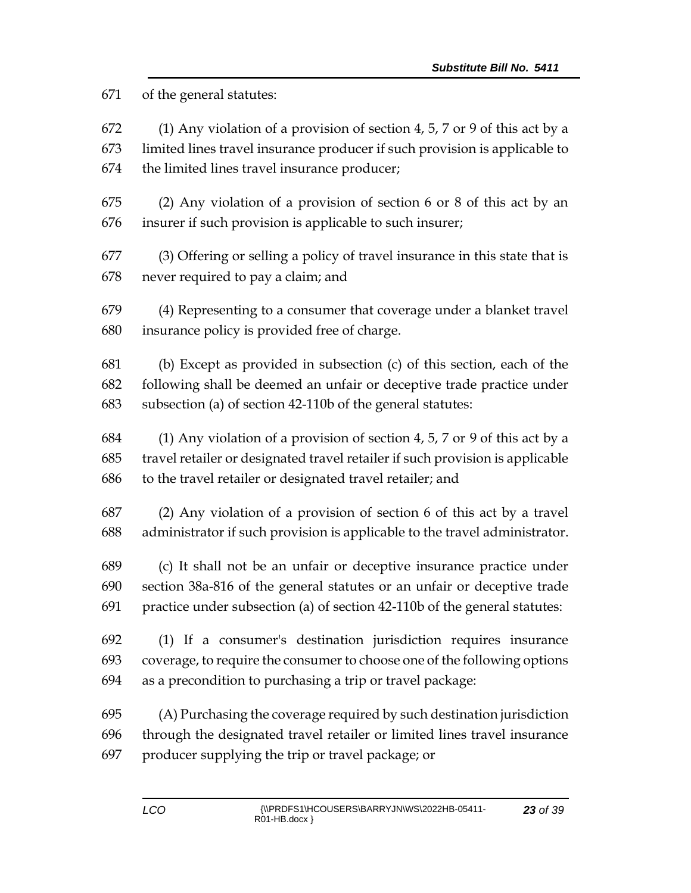of the general statutes:

 (1) Any violation of a provision of section 4, 5, 7 or 9 of this act by a limited lines travel insurance producer if such provision is applicable to the limited lines travel insurance producer;

 (2) Any violation of a provision of section 6 or 8 of this act by an insurer if such provision is applicable to such insurer;

 (3) Offering or selling a policy of travel insurance in this state that is never required to pay a claim; and

 (4) Representing to a consumer that coverage under a blanket travel insurance policy is provided free of charge.

 (b) Except as provided in subsection (c) of this section, each of the following shall be deemed an unfair or deceptive trade practice under subsection (a) of section 42-110b of the general statutes:

 (1) Any violation of a provision of section 4, 5, 7 or 9 of this act by a travel retailer or designated travel retailer if such provision is applicable to the travel retailer or designated travel retailer; and

 (2) Any violation of a provision of section 6 of this act by a travel administrator if such provision is applicable to the travel administrator.

 (c) It shall not be an unfair or deceptive insurance practice under section 38a-816 of the general statutes or an unfair or deceptive trade practice under subsection (a) of section 42-110b of the general statutes:

 (1) If a consumer's destination jurisdiction requires insurance coverage, to require the consumer to choose one of the following options as a precondition to purchasing a trip or travel package:

 (A) Purchasing the coverage required by such destination jurisdiction through the designated travel retailer or limited lines travel insurance producer supplying the trip or travel package; or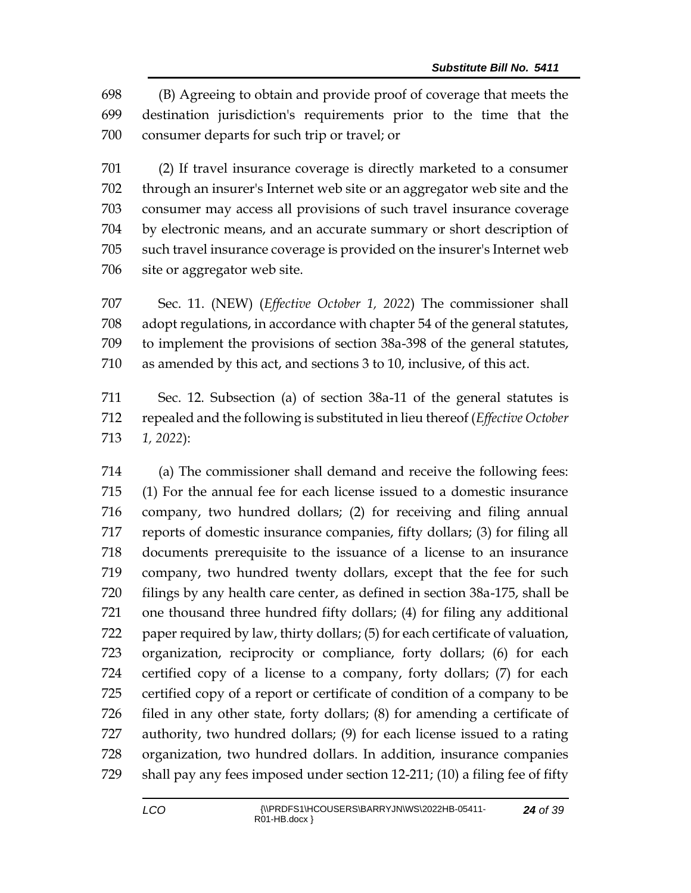(B) Agreeing to obtain and provide proof of coverage that meets the destination jurisdiction's requirements prior to the time that the consumer departs for such trip or travel; or

 (2) If travel insurance coverage is directly marketed to a consumer through an insurer's Internet web site or an aggregator web site and the consumer may access all provisions of such travel insurance coverage by electronic means, and an accurate summary or short description of such travel insurance coverage is provided on the insurer's Internet web site or aggregator web site.

 Sec. 11. (NEW) (*Effective October 1, 2022*) The commissioner shall adopt regulations, in accordance with chapter 54 of the general statutes, to implement the provisions of section 38a-398 of the general statutes, as amended by this act, and sections 3 to 10, inclusive, of this act.

 Sec. 12. Subsection (a) of section 38a-11 of the general statutes is repealed and the following is substituted in lieu thereof (*Effective October 1, 2022*):

 (a) The commissioner shall demand and receive the following fees: (1) For the annual fee for each license issued to a domestic insurance company, two hundred dollars; (2) for receiving and filing annual reports of domestic insurance companies, fifty dollars; (3) for filing all documents prerequisite to the issuance of a license to an insurance company, two hundred twenty dollars, except that the fee for such filings by any health care center, as defined in section 38a-175, shall be one thousand three hundred fifty dollars; (4) for filing any additional paper required by law, thirty dollars; (5) for each certificate of valuation, organization, reciprocity or compliance, forty dollars; (6) for each certified copy of a license to a company, forty dollars; (7) for each certified copy of a report or certificate of condition of a company to be filed in any other state, forty dollars; (8) for amending a certificate of authority, two hundred dollars; (9) for each license issued to a rating organization, two hundred dollars. In addition, insurance companies shall pay any fees imposed under section 12-211; (10) a filing fee of fifty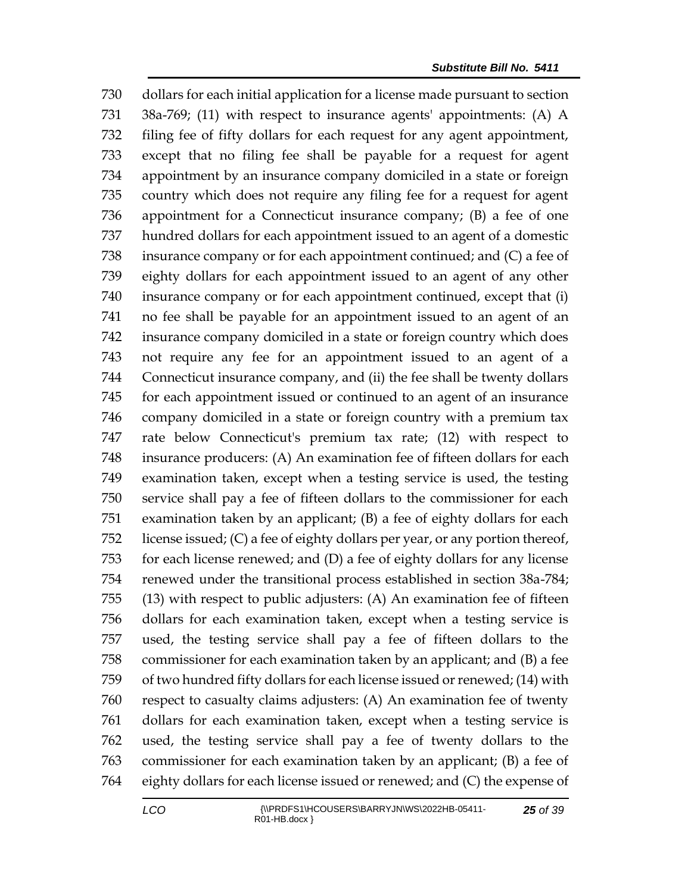dollars for each initial application for a license made pursuant to section 38a-769; (11) with respect to insurance agents' appointments: (A) A filing fee of fifty dollars for each request for any agent appointment, except that no filing fee shall be payable for a request for agent appointment by an insurance company domiciled in a state or foreign country which does not require any filing fee for a request for agent appointment for a Connecticut insurance company; (B) a fee of one hundred dollars for each appointment issued to an agent of a domestic insurance company or for each appointment continued; and (C) a fee of eighty dollars for each appointment issued to an agent of any other insurance company or for each appointment continued, except that (i) no fee shall be payable for an appointment issued to an agent of an insurance company domiciled in a state or foreign country which does not require any fee for an appointment issued to an agent of a Connecticut insurance company, and (ii) the fee shall be twenty dollars for each appointment issued or continued to an agent of an insurance company domiciled in a state or foreign country with a premium tax rate below Connecticut's premium tax rate; (12) with respect to insurance producers: (A) An examination fee of fifteen dollars for each examination taken, except when a testing service is used, the testing service shall pay a fee of fifteen dollars to the commissioner for each examination taken by an applicant; (B) a fee of eighty dollars for each license issued; (C) a fee of eighty dollars per year, or any portion thereof, for each license renewed; and (D) a fee of eighty dollars for any license renewed under the transitional process established in section 38a-784; (13) with respect to public adjusters: (A) An examination fee of fifteen dollars for each examination taken, except when a testing service is used, the testing service shall pay a fee of fifteen dollars to the commissioner for each examination taken by an applicant; and (B) a fee of two hundred fifty dollars for each license issued or renewed; (14) with respect to casualty claims adjusters: (A) An examination fee of twenty dollars for each examination taken, except when a testing service is used, the testing service shall pay a fee of twenty dollars to the commissioner for each examination taken by an applicant; (B) a fee of eighty dollars for each license issued or renewed; and (C) the expense of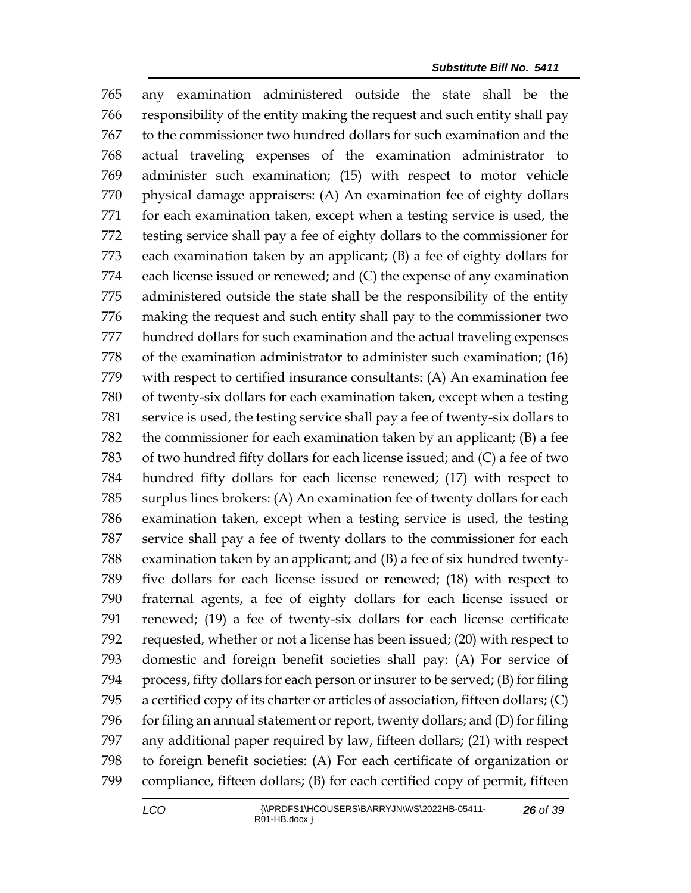any examination administered outside the state shall be the responsibility of the entity making the request and such entity shall pay to the commissioner two hundred dollars for such examination and the actual traveling expenses of the examination administrator to administer such examination; (15) with respect to motor vehicle physical damage appraisers: (A) An examination fee of eighty dollars for each examination taken, except when a testing service is used, the testing service shall pay a fee of eighty dollars to the commissioner for each examination taken by an applicant; (B) a fee of eighty dollars for each license issued or renewed; and (C) the expense of any examination administered outside the state shall be the responsibility of the entity making the request and such entity shall pay to the commissioner two hundred dollars for such examination and the actual traveling expenses of the examination administrator to administer such examination; (16) with respect to certified insurance consultants: (A) An examination fee of twenty-six dollars for each examination taken, except when a testing service is used, the testing service shall pay a fee of twenty-six dollars to the commissioner for each examination taken by an applicant; (B) a fee of two hundred fifty dollars for each license issued; and (C) a fee of two hundred fifty dollars for each license renewed; (17) with respect to surplus lines brokers: (A) An examination fee of twenty dollars for each examination taken, except when a testing service is used, the testing service shall pay a fee of twenty dollars to the commissioner for each examination taken by an applicant; and (B) a fee of six hundred twenty- five dollars for each license issued or renewed; (18) with respect to fraternal agents, a fee of eighty dollars for each license issued or renewed; (19) a fee of twenty-six dollars for each license certificate requested, whether or not a license has been issued; (20) with respect to domestic and foreign benefit societies shall pay: (A) For service of process, fifty dollars for each person or insurer to be served; (B) for filing a certified copy of its charter or articles of association, fifteen dollars; (C) 796 for filing an annual statement or report, twenty dollars; and (D) for filing any additional paper required by law, fifteen dollars; (21) with respect to foreign benefit societies: (A) For each certificate of organization or compliance, fifteen dollars; (B) for each certified copy of permit, fifteen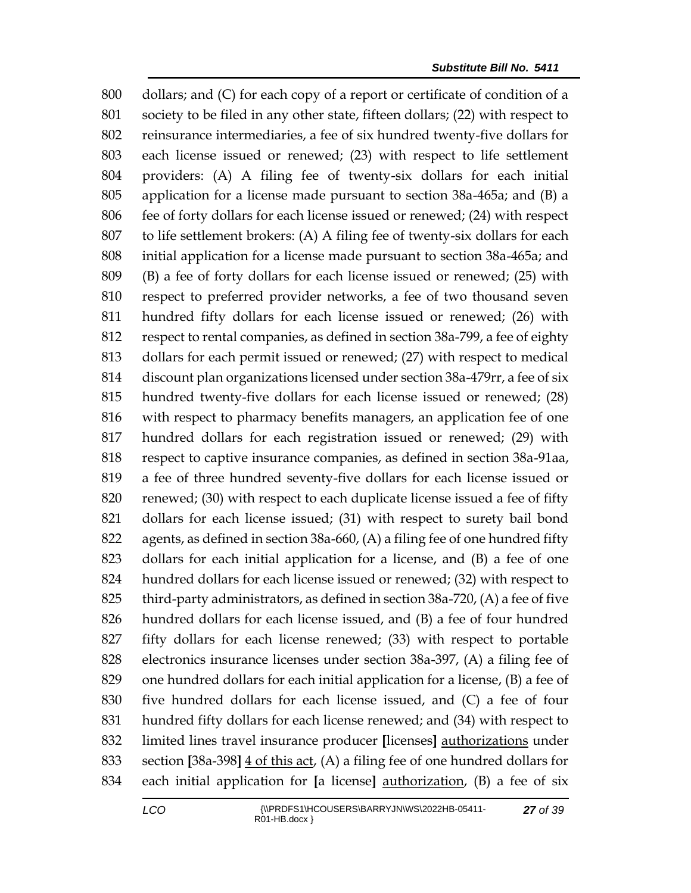dollars; and (C) for each copy of a report or certificate of condition of a society to be filed in any other state, fifteen dollars; (22) with respect to reinsurance intermediaries, a fee of six hundred twenty-five dollars for each license issued or renewed; (23) with respect to life settlement providers: (A) A filing fee of twenty-six dollars for each initial application for a license made pursuant to section 38a-465a; and (B) a fee of forty dollars for each license issued or renewed; (24) with respect to life settlement brokers: (A) A filing fee of twenty-six dollars for each initial application for a license made pursuant to section 38a-465a; and (B) a fee of forty dollars for each license issued or renewed; (25) with respect to preferred provider networks, a fee of two thousand seven hundred fifty dollars for each license issued or renewed; (26) with respect to rental companies, as defined in section 38a-799, a fee of eighty dollars for each permit issued or renewed; (27) with respect to medical discount plan organizations licensed under section 38a-479rr, a fee of six hundred twenty-five dollars for each license issued or renewed; (28) with respect to pharmacy benefits managers, an application fee of one hundred dollars for each registration issued or renewed; (29) with respect to captive insurance companies, as defined in section 38a-91aa, a fee of three hundred seventy-five dollars for each license issued or renewed; (30) with respect to each duplicate license issued a fee of fifty dollars for each license issued; (31) with respect to surety bail bond agents, as defined in section 38a-660, (A) a filing fee of one hundred fifty dollars for each initial application for a license, and (B) a fee of one hundred dollars for each license issued or renewed; (32) with respect to third-party administrators, as defined in section 38a-720, (A) a fee of five hundred dollars for each license issued, and (B) a fee of four hundred fifty dollars for each license renewed; (33) with respect to portable electronics insurance licenses under section 38a-397, (A) a filing fee of one hundred dollars for each initial application for a license, (B) a fee of five hundred dollars for each license issued, and (C) a fee of four hundred fifty dollars for each license renewed; and (34) with respect to limited lines travel insurance producer **[**licenses**]** authorizations under section **[**38a-398**]** 4 of this act, (A) a filing fee of one hundred dollars for each initial application for **[**a license**]** authorization, (B) a fee of six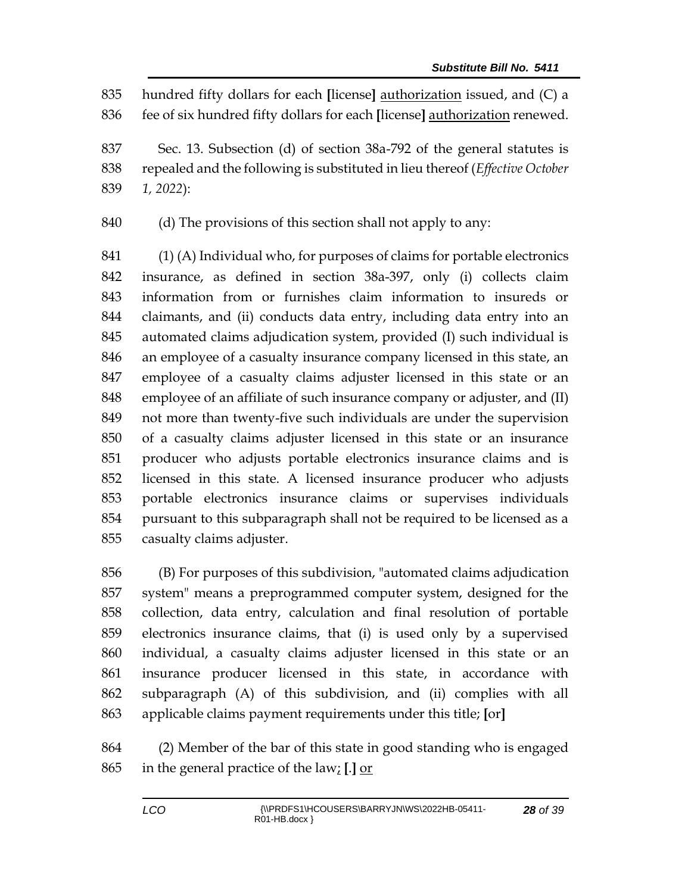hundred fifty dollars for each **[**license**]** authorization issued, and (C) a fee of six hundred fifty dollars for each **[**license**]** authorization renewed.

 Sec. 13. Subsection (d) of section 38a-792 of the general statutes is repealed and the following is substituted in lieu thereof (*Effective October 1, 2022*):

(d) The provisions of this section shall not apply to any:

 (1) (A) Individual who, for purposes of claims for portable electronics insurance, as defined in section 38a-397, only (i) collects claim information from or furnishes claim information to insureds or claimants, and (ii) conducts data entry, including data entry into an automated claims adjudication system, provided (I) such individual is an employee of a casualty insurance company licensed in this state, an employee of a casualty claims adjuster licensed in this state or an employee of an affiliate of such insurance company or adjuster, and (II) not more than twenty-five such individuals are under the supervision of a casualty claims adjuster licensed in this state or an insurance producer who adjusts portable electronics insurance claims and is licensed in this state. A licensed insurance producer who adjusts portable electronics insurance claims or supervises individuals pursuant to this subparagraph shall not be required to be licensed as a casualty claims adjuster.

 (B) For purposes of this subdivision, "automated claims adjudication system" means a preprogrammed computer system, designed for the collection, data entry, calculation and final resolution of portable electronics insurance claims, that (i) is used only by a supervised individual, a casualty claims adjuster licensed in this state or an insurance producer licensed in this state, in accordance with subparagraph (A) of this subdivision, and (ii) complies with all applicable claims payment requirements under this title; **[**or**]**

 (2) Member of the bar of this state in good standing who is engaged in the general practice of the law; **[**.**]** or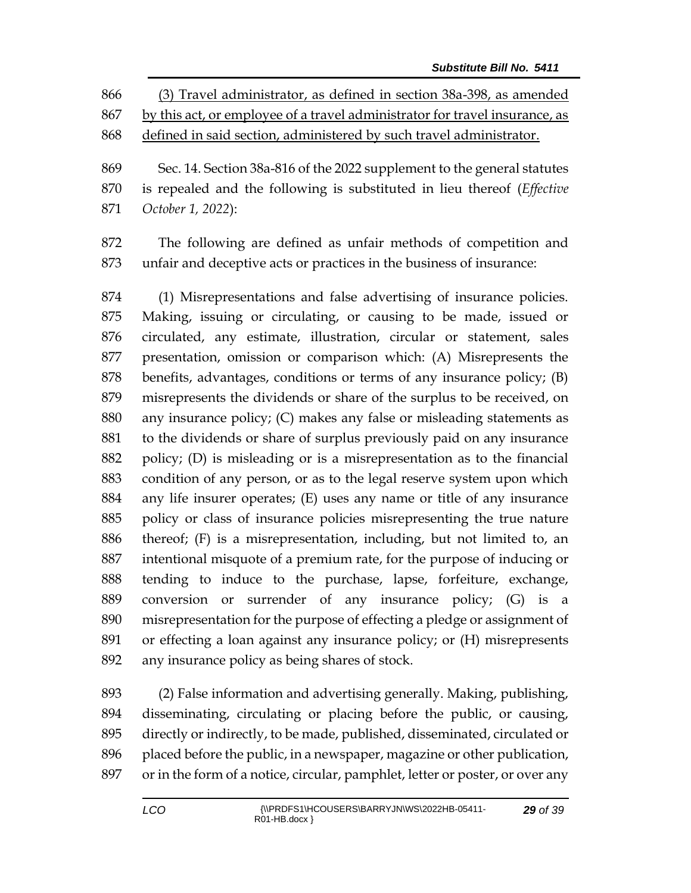(3) Travel administrator, as defined in section 38a-398, as amended by this act, or employee of a travel administrator for travel insurance, as defined in said section, administered by such travel administrator.

 Sec. 14. Section 38a-816 of the 2022 supplement to the general statutes is repealed and the following is substituted in lieu thereof (*Effective October 1, 2022*):

 The following are defined as unfair methods of competition and unfair and deceptive acts or practices in the business of insurance:

 (1) Misrepresentations and false advertising of insurance policies. Making, issuing or circulating, or causing to be made, issued or circulated, any estimate, illustration, circular or statement, sales presentation, omission or comparison which: (A) Misrepresents the benefits, advantages, conditions or terms of any insurance policy; (B) misrepresents the dividends or share of the surplus to be received, on any insurance policy; (C) makes any false or misleading statements as to the dividends or share of surplus previously paid on any insurance policy; (D) is misleading or is a misrepresentation as to the financial condition of any person, or as to the legal reserve system upon which any life insurer operates; (E) uses any name or title of any insurance policy or class of insurance policies misrepresenting the true nature thereof; (F) is a misrepresentation, including, but not limited to, an intentional misquote of a premium rate, for the purpose of inducing or tending to induce to the purchase, lapse, forfeiture, exchange, conversion or surrender of any insurance policy; (G) is a misrepresentation for the purpose of effecting a pledge or assignment of or effecting a loan against any insurance policy; or (H) misrepresents any insurance policy as being shares of stock.

 (2) False information and advertising generally. Making, publishing, disseminating, circulating or placing before the public, or causing, directly or indirectly, to be made, published, disseminated, circulated or placed before the public, in a newspaper, magazine or other publication, or in the form of a notice, circular, pamphlet, letter or poster, or over any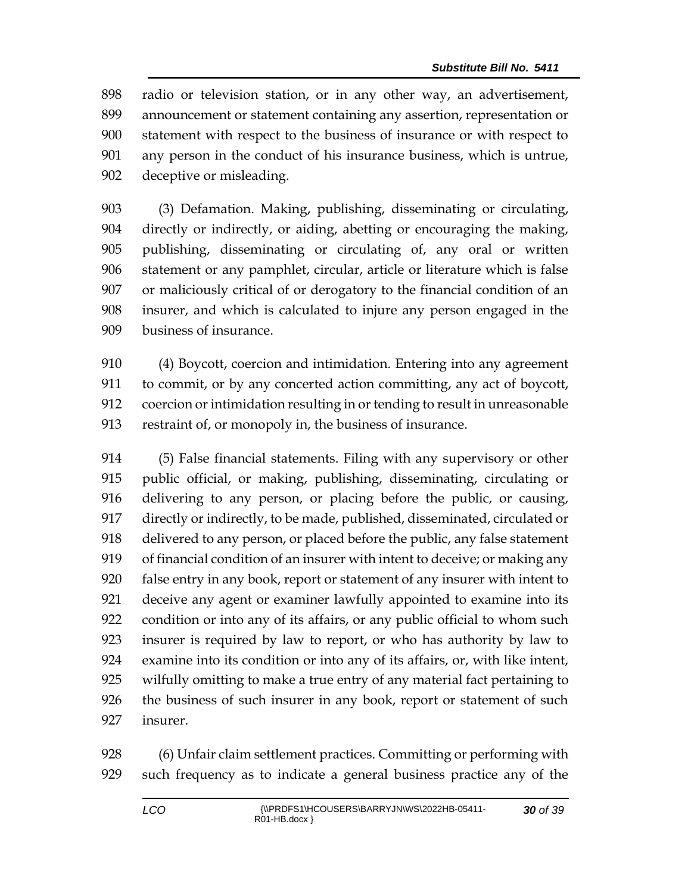radio or television station, or in any other way, an advertisement, announcement or statement containing any assertion, representation or statement with respect to the business of insurance or with respect to any person in the conduct of his insurance business, which is untrue, deceptive or misleading.

 (3) Defamation. Making, publishing, disseminating or circulating, directly or indirectly, or aiding, abetting or encouraging the making, publishing, disseminating or circulating of, any oral or written statement or any pamphlet, circular, article or literature which is false or maliciously critical of or derogatory to the financial condition of an insurer, and which is calculated to injure any person engaged in the business of insurance.

 (4) Boycott, coercion and intimidation. Entering into any agreement to commit, or by any concerted action committing, any act of boycott, coercion or intimidation resulting in or tending to result in unreasonable restraint of, or monopoly in, the business of insurance.

 (5) False financial statements. Filing with any supervisory or other public official, or making, publishing, disseminating, circulating or delivering to any person, or placing before the public, or causing, directly or indirectly, to be made, published, disseminated, circulated or delivered to any person, or placed before the public, any false statement of financial condition of an insurer with intent to deceive; or making any false entry in any book, report or statement of any insurer with intent to deceive any agent or examiner lawfully appointed to examine into its condition or into any of its affairs, or any public official to whom such insurer is required by law to report, or who has authority by law to examine into its condition or into any of its affairs, or, with like intent, wilfully omitting to make a true entry of any material fact pertaining to the business of such insurer in any book, report or statement of such insurer.

 (6) Unfair claim settlement practices. Committing or performing with such frequency as to indicate a general business practice any of the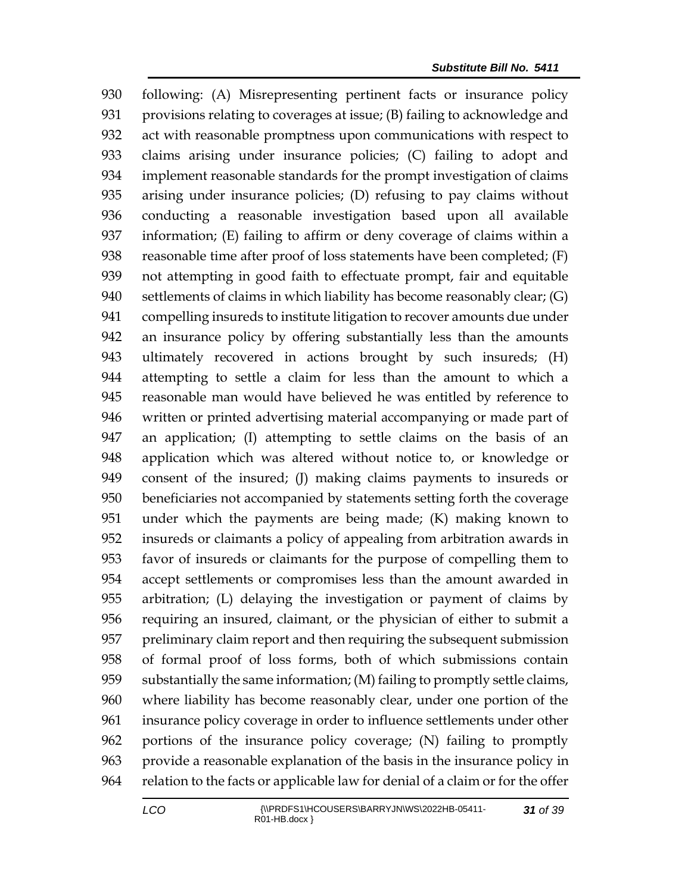following: (A) Misrepresenting pertinent facts or insurance policy provisions relating to coverages at issue; (B) failing to acknowledge and act with reasonable promptness upon communications with respect to claims arising under insurance policies; (C) failing to adopt and implement reasonable standards for the prompt investigation of claims arising under insurance policies; (D) refusing to pay claims without conducting a reasonable investigation based upon all available information; (E) failing to affirm or deny coverage of claims within a reasonable time after proof of loss statements have been completed; (F) not attempting in good faith to effectuate prompt, fair and equitable settlements of claims in which liability has become reasonably clear; (G) compelling insureds to institute litigation to recover amounts due under an insurance policy by offering substantially less than the amounts ultimately recovered in actions brought by such insureds; (H) attempting to settle a claim for less than the amount to which a reasonable man would have believed he was entitled by reference to written or printed advertising material accompanying or made part of an application; (I) attempting to settle claims on the basis of an application which was altered without notice to, or knowledge or consent of the insured; (J) making claims payments to insureds or beneficiaries not accompanied by statements setting forth the coverage under which the payments are being made; (K) making known to insureds or claimants a policy of appealing from arbitration awards in favor of insureds or claimants for the purpose of compelling them to accept settlements or compromises less than the amount awarded in arbitration; (L) delaying the investigation or payment of claims by requiring an insured, claimant, or the physician of either to submit a preliminary claim report and then requiring the subsequent submission of formal proof of loss forms, both of which submissions contain substantially the same information; (M) failing to promptly settle claims, where liability has become reasonably clear, under one portion of the insurance policy coverage in order to influence settlements under other portions of the insurance policy coverage; (N) failing to promptly provide a reasonable explanation of the basis in the insurance policy in relation to the facts or applicable law for denial of a claim or for the offer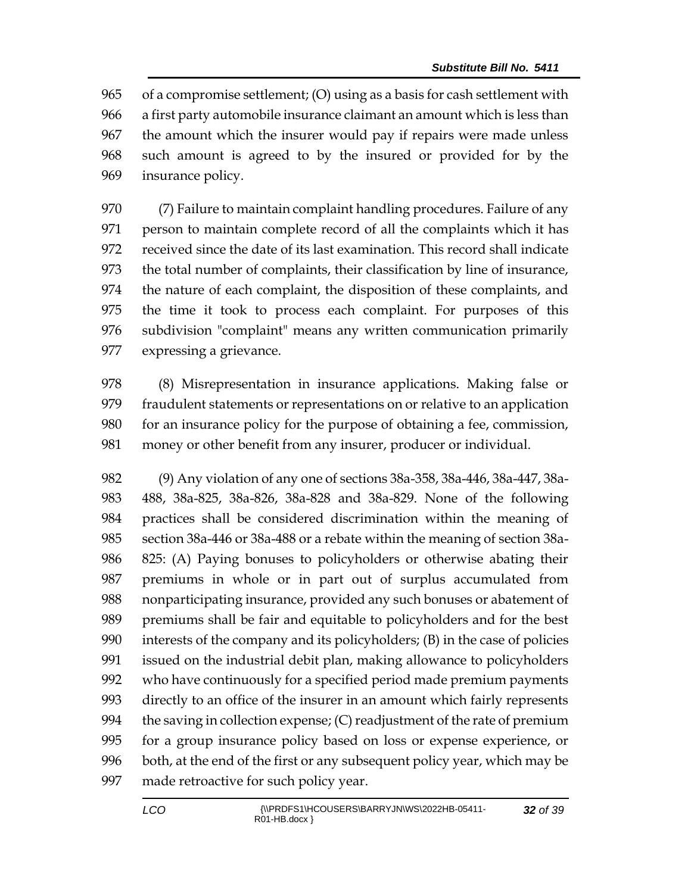of a compromise settlement; (O) using as a basis for cash settlement with a first party automobile insurance claimant an amount which is less than the amount which the insurer would pay if repairs were made unless such amount is agreed to by the insured or provided for by the insurance policy.

 (7) Failure to maintain complaint handling procedures. Failure of any person to maintain complete record of all the complaints which it has received since the date of its last examination. This record shall indicate the total number of complaints, their classification by line of insurance, the nature of each complaint, the disposition of these complaints, and the time it took to process each complaint. For purposes of this subdivision "complaint" means any written communication primarily expressing a grievance.

 (8) Misrepresentation in insurance applications. Making false or fraudulent statements or representations on or relative to an application for an insurance policy for the purpose of obtaining a fee, commission, money or other benefit from any insurer, producer or individual.

 (9) Any violation of any one of sections 38a-358, 38a-446, 38a-447, 38a- 488, 38a-825, 38a-826, 38a-828 and 38a-829. None of the following practices shall be considered discrimination within the meaning of section 38a-446 or 38a-488 or a rebate within the meaning of section 38a- 825: (A) Paying bonuses to policyholders or otherwise abating their premiums in whole or in part out of surplus accumulated from nonparticipating insurance, provided any such bonuses or abatement of premiums shall be fair and equitable to policyholders and for the best interests of the company and its policyholders; (B) in the case of policies issued on the industrial debit plan, making allowance to policyholders who have continuously for a specified period made premium payments directly to an office of the insurer in an amount which fairly represents 994 the saving in collection expense;  $(C)$  readjustment of the rate of premium for a group insurance policy based on loss or expense experience, or both, at the end of the first or any subsequent policy year, which may be made retroactive for such policy year.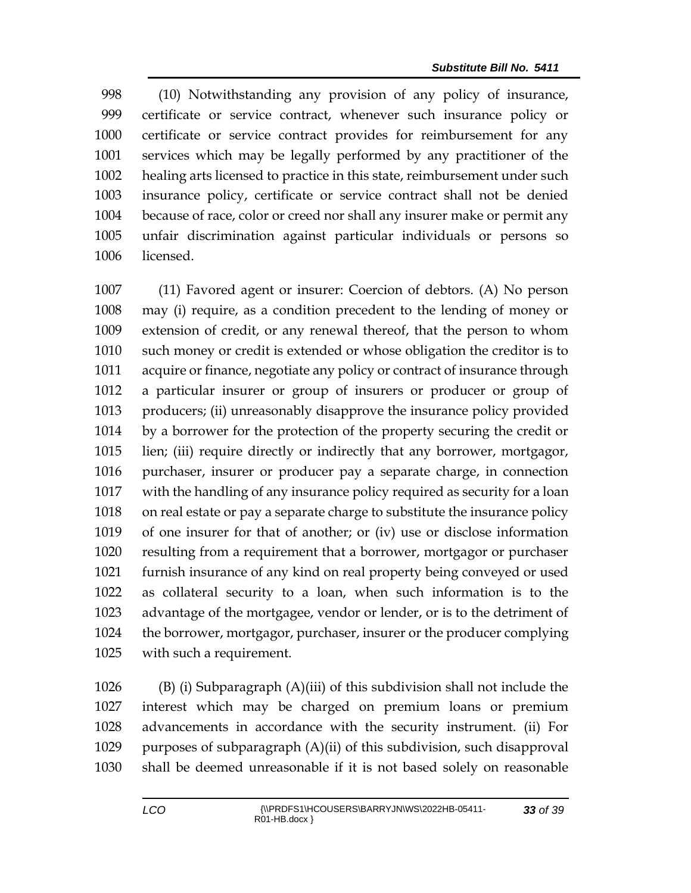(10) Notwithstanding any provision of any policy of insurance, certificate or service contract, whenever such insurance policy or certificate or service contract provides for reimbursement for any services which may be legally performed by any practitioner of the healing arts licensed to practice in this state, reimbursement under such insurance policy, certificate or service contract shall not be denied because of race, color or creed nor shall any insurer make or permit any unfair discrimination against particular individuals or persons so licensed.

 (11) Favored agent or insurer: Coercion of debtors. (A) No person may (i) require, as a condition precedent to the lending of money or extension of credit, or any renewal thereof, that the person to whom such money or credit is extended or whose obligation the creditor is to acquire or finance, negotiate any policy or contract of insurance through a particular insurer or group of insurers or producer or group of producers; (ii) unreasonably disapprove the insurance policy provided by a borrower for the protection of the property securing the credit or lien; (iii) require directly or indirectly that any borrower, mortgagor, purchaser, insurer or producer pay a separate charge, in connection with the handling of any insurance policy required as security for a loan on real estate or pay a separate charge to substitute the insurance policy of one insurer for that of another; or (iv) use or disclose information resulting from a requirement that a borrower, mortgagor or purchaser furnish insurance of any kind on real property being conveyed or used as collateral security to a loan, when such information is to the advantage of the mortgagee, vendor or lender, or is to the detriment of the borrower, mortgagor, purchaser, insurer or the producer complying with such a requirement.

 (B) (i) Subparagraph (A)(iii) of this subdivision shall not include the interest which may be charged on premium loans or premium advancements in accordance with the security instrument. (ii) For purposes of subparagraph (A)(ii) of this subdivision, such disapproval shall be deemed unreasonable if it is not based solely on reasonable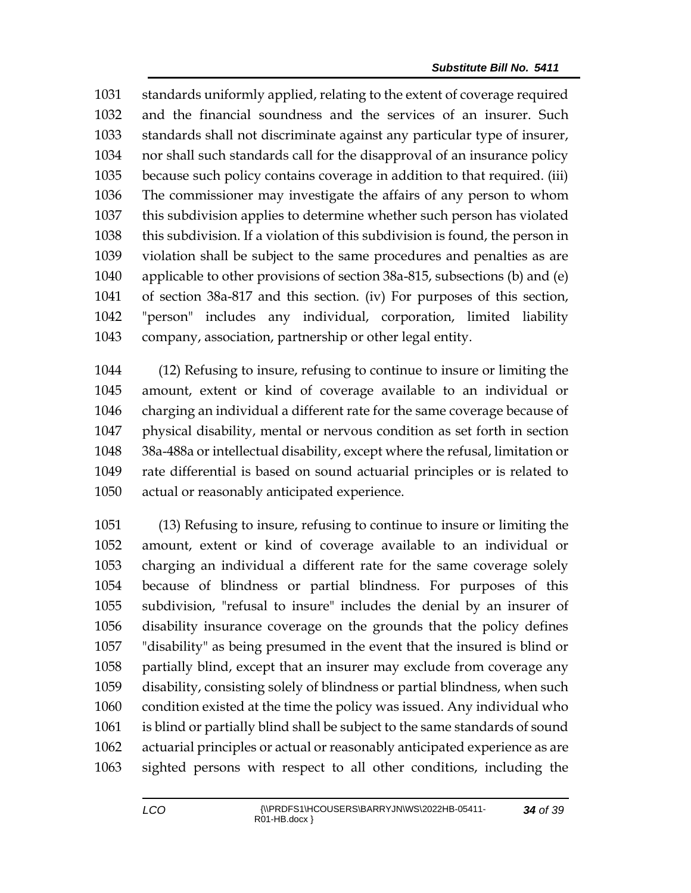standards uniformly applied, relating to the extent of coverage required and the financial soundness and the services of an insurer. Such standards shall not discriminate against any particular type of insurer, nor shall such standards call for the disapproval of an insurance policy because such policy contains coverage in addition to that required. (iii) The commissioner may investigate the affairs of any person to whom this subdivision applies to determine whether such person has violated this subdivision. If a violation of this subdivision is found, the person in violation shall be subject to the same procedures and penalties as are applicable to other provisions of section 38a-815, subsections (b) and (e) of section 38a-817 and this section. (iv) For purposes of this section, "person" includes any individual, corporation, limited liability company, association, partnership or other legal entity.

 (12) Refusing to insure, refusing to continue to insure or limiting the amount, extent or kind of coverage available to an individual or charging an individual a different rate for the same coverage because of physical disability, mental or nervous condition as set forth in section 38a-488a or intellectual disability, except where the refusal, limitation or rate differential is based on sound actuarial principles or is related to actual or reasonably anticipated experience.

 (13) Refusing to insure, refusing to continue to insure or limiting the amount, extent or kind of coverage available to an individual or charging an individual a different rate for the same coverage solely because of blindness or partial blindness. For purposes of this subdivision, "refusal to insure" includes the denial by an insurer of disability insurance coverage on the grounds that the policy defines "disability" as being presumed in the event that the insured is blind or partially blind, except that an insurer may exclude from coverage any disability, consisting solely of blindness or partial blindness, when such condition existed at the time the policy was issued. Any individual who is blind or partially blind shall be subject to the same standards of sound actuarial principles or actual or reasonably anticipated experience as are sighted persons with respect to all other conditions, including the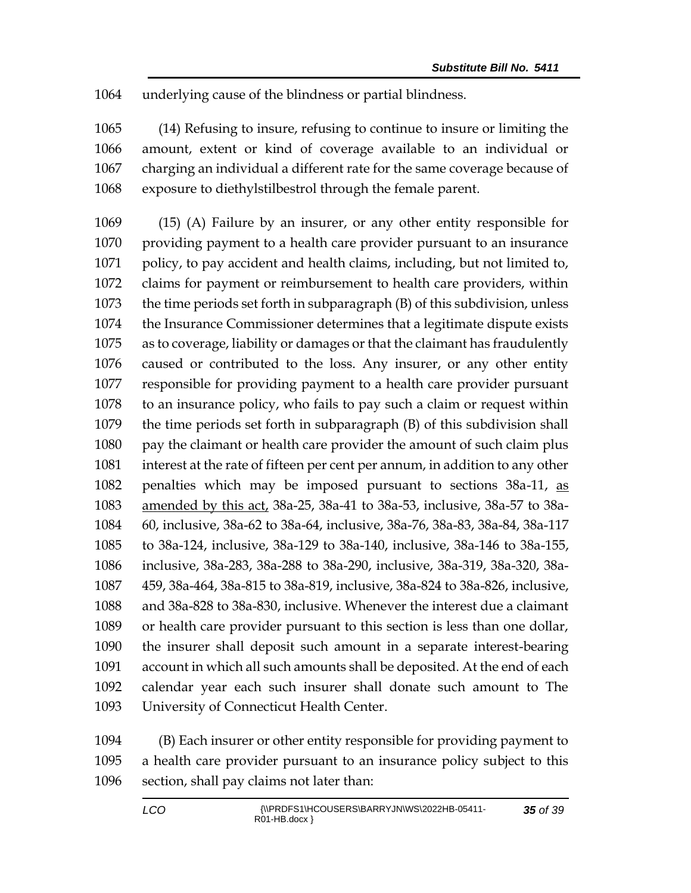underlying cause of the blindness or partial blindness.

 (14) Refusing to insure, refusing to continue to insure or limiting the amount, extent or kind of coverage available to an individual or charging an individual a different rate for the same coverage because of exposure to diethylstilbestrol through the female parent.

 (15) (A) Failure by an insurer, or any other entity responsible for providing payment to a health care provider pursuant to an insurance policy, to pay accident and health claims, including, but not limited to, claims for payment or reimbursement to health care providers, within the time periods set forth in subparagraph (B) of this subdivision, unless the Insurance Commissioner determines that a legitimate dispute exists as to coverage, liability or damages or that the claimant has fraudulently caused or contributed to the loss. Any insurer, or any other entity responsible for providing payment to a health care provider pursuant to an insurance policy, who fails to pay such a claim or request within the time periods set forth in subparagraph (B) of this subdivision shall pay the claimant or health care provider the amount of such claim plus interest at the rate of fifteen per cent per annum, in addition to any other penalties which may be imposed pursuant to sections 38a-11, as amended by this act, 38a-25, 38a-41 to 38a-53, inclusive, 38a-57 to 38a- 60, inclusive, 38a-62 to 38a-64, inclusive, 38a-76, 38a-83, 38a-84, 38a-117 to 38a-124, inclusive, 38a-129 to 38a-140, inclusive, 38a-146 to 38a-155, inclusive, 38a-283, 38a-288 to 38a-290, inclusive, 38a-319, 38a-320, 38a- 459, 38a-464, 38a-815 to 38a-819, inclusive, 38a-824 to 38a-826, inclusive, and 38a-828 to 38a-830, inclusive. Whenever the interest due a claimant or health care provider pursuant to this section is less than one dollar, the insurer shall deposit such amount in a separate interest-bearing account in which all such amounts shall be deposited. At the end of each calendar year each such insurer shall donate such amount to The University of Connecticut Health Center.

 (B) Each insurer or other entity responsible for providing payment to a health care provider pursuant to an insurance policy subject to this section, shall pay claims not later than: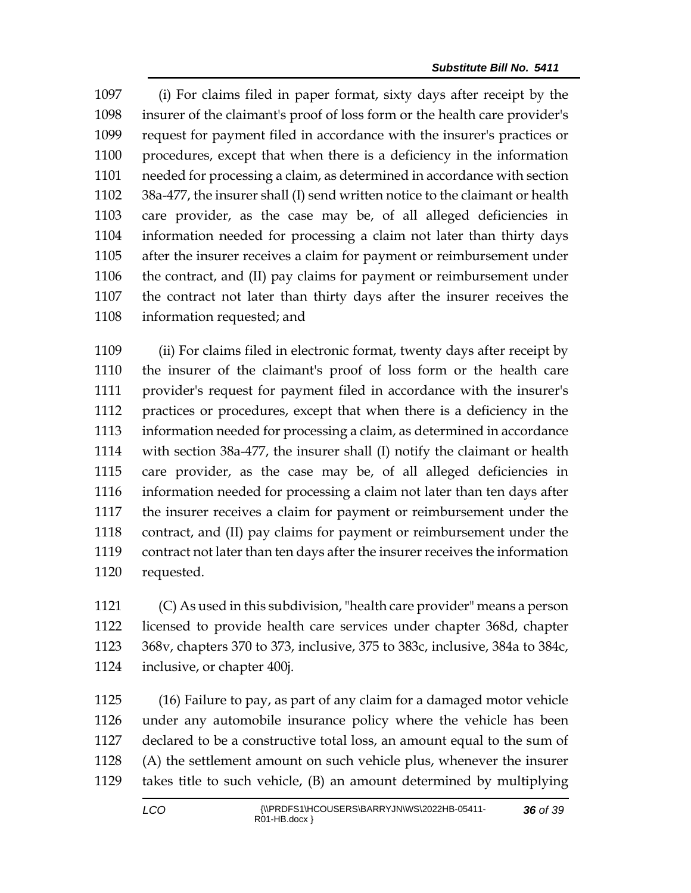(i) For claims filed in paper format, sixty days after receipt by the insurer of the claimant's proof of loss form or the health care provider's request for payment filed in accordance with the insurer's practices or procedures, except that when there is a deficiency in the information needed for processing a claim, as determined in accordance with section 38a-477, the insurer shall (I) send written notice to the claimant or health care provider, as the case may be, of all alleged deficiencies in information needed for processing a claim not later than thirty days after the insurer receives a claim for payment or reimbursement under the contract, and (II) pay claims for payment or reimbursement under the contract not later than thirty days after the insurer receives the information requested; and

 (ii) For claims filed in electronic format, twenty days after receipt by the insurer of the claimant's proof of loss form or the health care provider's request for payment filed in accordance with the insurer's practices or procedures, except that when there is a deficiency in the information needed for processing a claim, as determined in accordance with section 38a-477, the insurer shall (I) notify the claimant or health care provider, as the case may be, of all alleged deficiencies in information needed for processing a claim not later than ten days after the insurer receives a claim for payment or reimbursement under the contract, and (II) pay claims for payment or reimbursement under the contract not later than ten days after the insurer receives the information requested.

 (C) As used in this subdivision, "health care provider" means a person licensed to provide health care services under chapter 368d, chapter 368v, chapters 370 to 373, inclusive, 375 to 383c, inclusive, 384a to 384c, inclusive, or chapter 400j.

 (16) Failure to pay, as part of any claim for a damaged motor vehicle under any automobile insurance policy where the vehicle has been declared to be a constructive total loss, an amount equal to the sum of (A) the settlement amount on such vehicle plus, whenever the insurer takes title to such vehicle, (B) an amount determined by multiplying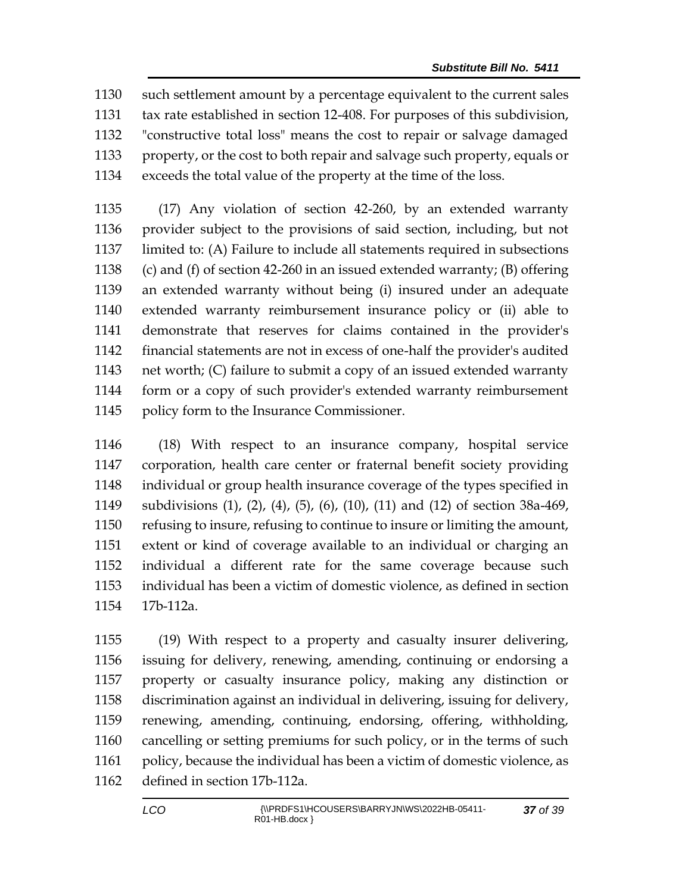such settlement amount by a percentage equivalent to the current sales tax rate established in section 12-408. For purposes of this subdivision, "constructive total loss" means the cost to repair or salvage damaged property, or the cost to both repair and salvage such property, equals or exceeds the total value of the property at the time of the loss.

 (17) Any violation of section 42-260, by an extended warranty provider subject to the provisions of said section, including, but not limited to: (A) Failure to include all statements required in subsections (c) and (f) of section 42-260 in an issued extended warranty; (B) offering an extended warranty without being (i) insured under an adequate extended warranty reimbursement insurance policy or (ii) able to demonstrate that reserves for claims contained in the provider's financial statements are not in excess of one-half the provider's audited net worth; (C) failure to submit a copy of an issued extended warranty form or a copy of such provider's extended warranty reimbursement policy form to the Insurance Commissioner.

 (18) With respect to an insurance company, hospital service corporation, health care center or fraternal benefit society providing individual or group health insurance coverage of the types specified in subdivisions (1), (2), (4), (5), (6), (10), (11) and (12) of section 38a-469, refusing to insure, refusing to continue to insure or limiting the amount, extent or kind of coverage available to an individual or charging an individual a different rate for the same coverage because such individual has been a victim of domestic violence, as defined in section 17b-112a.

 (19) With respect to a property and casualty insurer delivering, issuing for delivery, renewing, amending, continuing or endorsing a property or casualty insurance policy, making any distinction or discrimination against an individual in delivering, issuing for delivery, renewing, amending, continuing, endorsing, offering, withholding, cancelling or setting premiums for such policy, or in the terms of such 1161 policy, because the individual has been a victim of domestic violence, as defined in section 17b-112a.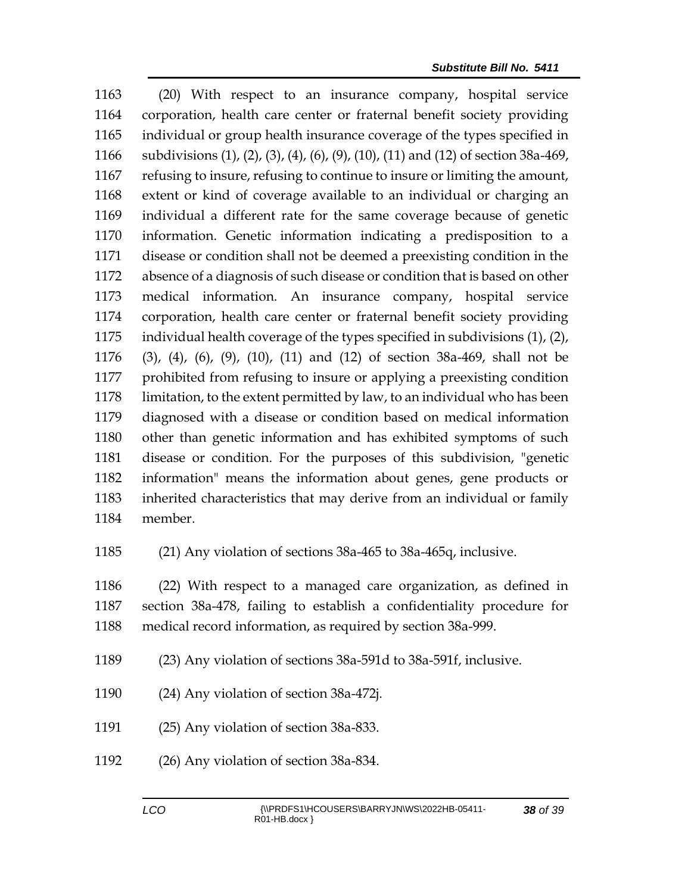(20) With respect to an insurance company, hospital service corporation, health care center or fraternal benefit society providing individual or group health insurance coverage of the types specified in subdivisions (1), (2), (3), (4), (6), (9), (10), (11) and (12) of section 38a-469, refusing to insure, refusing to continue to insure or limiting the amount, extent or kind of coverage available to an individual or charging an individual a different rate for the same coverage because of genetic information. Genetic information indicating a predisposition to a disease or condition shall not be deemed a preexisting condition in the absence of a diagnosis of such disease or condition that is based on other medical information. An insurance company, hospital service corporation, health care center or fraternal benefit society providing individual health coverage of the types specified in subdivisions (1), (2), (3), (4), (6), (9), (10), (11) and (12) of section 38a-469, shall not be prohibited from refusing to insure or applying a preexisting condition limitation, to the extent permitted by law, to an individual who has been diagnosed with a disease or condition based on medical information other than genetic information and has exhibited symptoms of such disease or condition. For the purposes of this subdivision, "genetic information" means the information about genes, gene products or inherited characteristics that may derive from an individual or family member.

(21) Any violation of sections 38a-465 to 38a-465q, inclusive.

 (22) With respect to a managed care organization, as defined in section 38a-478, failing to establish a confidentiality procedure for medical record information, as required by section 38a-999.

- (23) Any violation of sections 38a-591d to 38a-591f, inclusive.
- (24) Any violation of section 38a-472j.
- (25) Any violation of section 38a-833.
- (26) Any violation of section 38a-834.